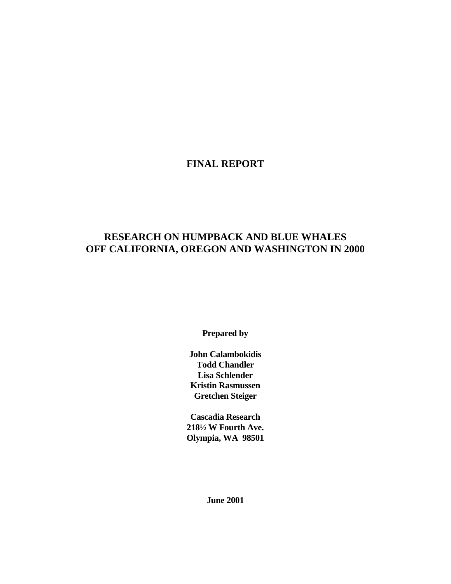## **FINAL REPORT**

## **RESEARCH ON HUMPBACK AND BLUE WHALES OFF CALIFORNIA, OREGON AND WASHINGTON IN 2000**

**Prepared by** 

**John Calambokidis Todd Chandler Lisa Schlender Kristin Rasmussen Gretchen Steiger** 

**Cascadia Research 218½ W Fourth Ave. Olympia, WA 98501** 

**June 2001**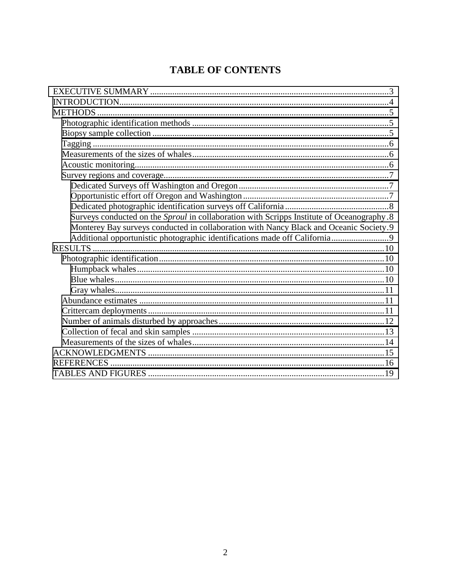# **TABLE OF CONTENTS**

| Surveys conducted on the Sproul in collaboration with Scripps Institute of Oceanography.8 |
|-------------------------------------------------------------------------------------------|
| Monterey Bay surveys conducted in collaboration with Nancy Black and Oceanic Society.9    |
|                                                                                           |
|                                                                                           |
|                                                                                           |
|                                                                                           |
|                                                                                           |
|                                                                                           |
|                                                                                           |
|                                                                                           |
|                                                                                           |
|                                                                                           |
|                                                                                           |
|                                                                                           |
|                                                                                           |
|                                                                                           |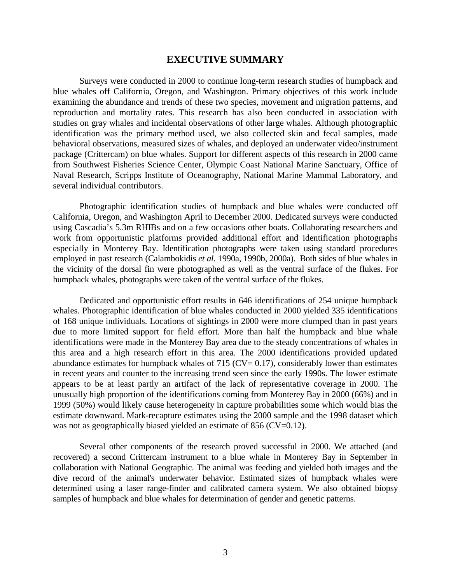### **EXECUTIVE SUMMARY**

<span id="page-2-0"></span>Surveys were conducted in 2000 to continue long-term research studies of humpback and blue whales off California, Oregon, and Washington. Primary objectives of this work include examining the abundance and trends of these two species, movement and migration patterns, and reproduction and mortality rates. This research has also been conducted in association with studies on gray whales and incidental observations of other large whales. Although photographic identification was the primary method used, we also collected skin and fecal samples, made behavioral observations, measured sizes of whales, and deployed an underwater video/instrument package (Crittercam) on blue whales. Support for different aspects of this research in 2000 came from Southwest Fisheries Science Center, Olympic Coast National Marine Sanctuary, Office of Naval Research, Scripps Institute of Oceanography, National Marine Mammal Laboratory, and several individual contributors.

 Photographic identification studies of humpback and blue whales were conducted off California, Oregon, and Washington April to December 2000. Dedicated surveys were conducted using Cascadia's 5.3m RHIBs and on a few occasions other boats. Collaborating researchers and work from opportunistic platforms provided additional effort and identification photographs especially in Monterey Bay. Identification photographs were taken using standard procedures employed in past research (Calambokidis *et al.* 1990a, 1990b, 2000a). Both sides of blue whales in the vicinity of the dorsal fin were photographed as well as the ventral surface of the flukes. For humpback whales, photographs were taken of the ventral surface of the flukes.

 Dedicated and opportunistic effort results in 646 identifications of 254 unique humpback whales. Photographic identification of blue whales conducted in 2000 yielded 335 identifications of 168 unique individuals. Locations of sightings in 2000 were more clumped than in past years due to more limited support for field effort. More than half the humpback and blue whale identifications were made in the Monterey Bay area due to the steady concentrations of whales in this area and a high research effort in this area. The 2000 identifications provided updated abundance estimates for humpback whales of 715 ( $CV = 0.17$ ), considerably lower than estimates in recent years and counter to the increasing trend seen since the early 1990s. The lower estimate appears to be at least partly an artifact of the lack of representative coverage in 2000. The unusually high proportion of the identifications coming from Monterey Bay in 2000 (66%) and in 1999 (50%) would likely cause heterogeneity in capture probabilities some which would bias the estimate downward. Mark-recapture estimates using the 2000 sample and the 1998 dataset which was not as geographically biased yielded an estimate of 856 (CV=0.12).

 Several other components of the research proved successful in 2000. We attached (and recovered) a second Crittercam instrument to a blue whale in Monterey Bay in September in collaboration with National Geographic. The animal was feeding and yielded both images and the dive record of the animal's underwater behavior. Estimated sizes of humpback whales were determined using a laser range-finder and calibrated camera system. We also obtained biopsy samples of humpback and blue whales for determination of gender and genetic patterns.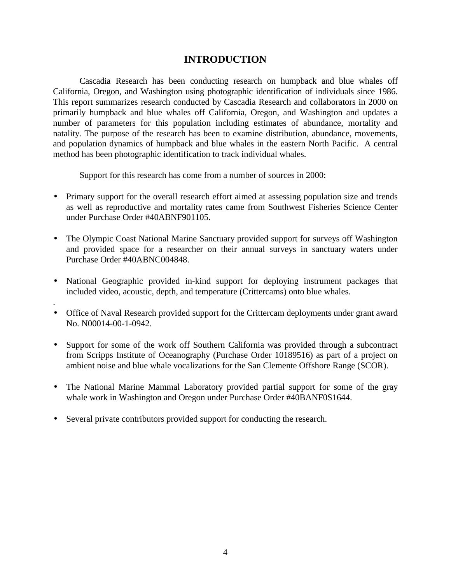## **INTRODUCTION**

<span id="page-3-0"></span> Cascadia Research has been conducting research on humpback and blue whales off California, Oregon, and Washington using photographic identification of individuals since 1986. This report summarizes research conducted by Cascadia Research and collaborators in 2000 on primarily humpback and blue whales off California, Oregon, and Washington and updates a number of parameters for this population including estimates of abundance, mortality and natality. The purpose of the research has been to examine distribution, abundance, movements, and population dynamics of humpback and blue whales in the eastern North Pacific. A central method has been photographic identification to track individual whales.

Support for this research has come from a number of sources in 2000:

- Primary support for the overall research effort aimed at assessing population size and trends as well as reproductive and mortality rates came from Southwest Fisheries Science Center under Purchase Order #40ABNF901105.
- The Olympic Coast National Marine Sanctuary provided support for surveys off Washington and provided space for a researcher on their annual surveys in sanctuary waters under Purchase Order #40ABNC004848.
- National Geographic provided in-kind support for deploying instrument packages that included video, acoustic, depth, and temperature (Crittercams) onto blue whales.
- Office of Naval Research provided support for the Crittercam deployments under grant award No. N00014-00-1-0942.
- Support for some of the work off Southern California was provided through a subcontract from Scripps Institute of Oceanography (Purchase Order 10189516) as part of a project on ambient noise and blue whale vocalizations for the San Clemente Offshore Range (SCOR).
- The National Marine Mammal Laboratory provided partial support for some of the gray whale work in Washington and Oregon under Purchase Order #40BANF0S1644.
- Several private contributors provided support for conducting the research.

.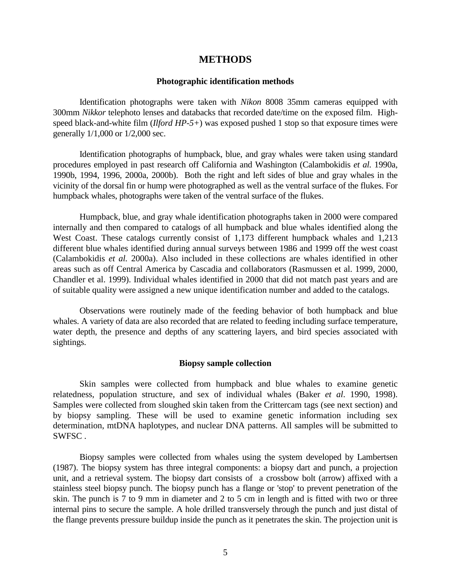### **METHODS**

#### **Photographic identification methods**

<span id="page-4-0"></span> Identification photographs were taken with *Nikon* 8008 35mm cameras equipped with 300mm *Nikkor* telephoto lenses and databacks that recorded date/time on the exposed film. Highspeed black-and-white film (*Ilford HP-5+*) was exposed pushed 1 stop so that exposure times were generally 1/1,000 or 1/2,000 sec.

 Identification photographs of humpback, blue, and gray whales were taken using standard procedures employed in past research off California and Washington (Calambokidis *et al.* 1990a, 1990b, 1994, 1996, 2000a, 2000b). Both the right and left sides of blue and gray whales in the vicinity of the dorsal fin or hump were photographed as well as the ventral surface of the flukes. For humpback whales, photographs were taken of the ventral surface of the flukes.

 Humpback, blue, and gray whale identification photographs taken in 2000 were compared internally and then compared to catalogs of all humpback and blue whales identified along the West Coast. These catalogs currently consist of 1,173 different humpback whales and 1,213 different blue whales identified during annual surveys between 1986 and 1999 off the west coast (Calambokidis *et al.* 2000a). Also included in these collections are whales identified in other areas such as off Central America by Cascadia and collaborators (Rasmussen et al. 1999, 2000, Chandler et al. 1999). Individual whales identified in 2000 that did not match past years and are of suitable quality were assigned a new unique identification number and added to the catalogs.

 Observations were routinely made of the feeding behavior of both humpback and blue whales. A variety of data are also recorded that are related to feeding including surface temperature, water depth, the presence and depths of any scattering layers, and bird species associated with sightings.

### **Biopsy sample collection**

 Skin samples were collected from humpback and blue whales to examine genetic relatedness, population structure, and sex of individual whales (Baker *et al*. 1990, 1998). Samples were collected from sloughed skin taken from the Crittercam tags (see next section) and by biopsy sampling. These will be used to examine genetic information including sex determination, mtDNA haplotypes, and nuclear DNA patterns. All samples will be submitted to SWFSC .

 Biopsy samples were collected from whales using the system developed by Lambertsen (1987). The biopsy system has three integral components: a biopsy dart and punch, a projection unit, and a retrieval system. The biopsy dart consists of a crossbow bolt (arrow) affixed with a stainless steel biopsy punch. The biopsy punch has a flange or 'stop' to prevent penetration of the skin. The punch is 7 to 9 mm in diameter and 2 to 5 cm in length and is fitted with two or three internal pins to secure the sample. A hole drilled transversely through the punch and just distal of the flange prevents pressure buildup inside the punch as it penetrates the skin. The projection unit is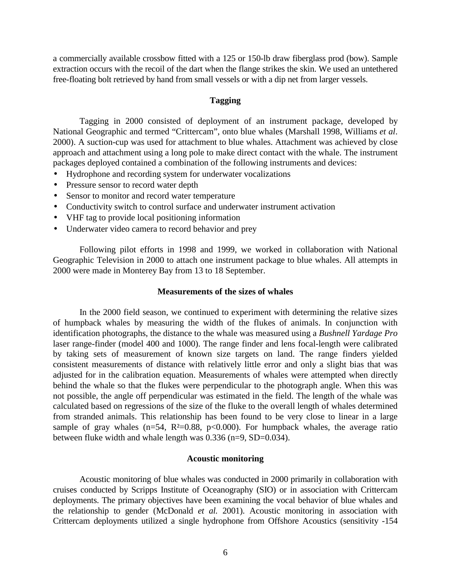<span id="page-5-0"></span>a commercially available crossbow fitted with a 125 or 150-lb draw fiberglass prod (bow). Sample extraction occurs with the recoil of the dart when the flange strikes the skin. We used an untethered free-floating bolt retrieved by hand from small vessels or with a dip net from larger vessels.

#### **Tagging**

 Tagging in 2000 consisted of deployment of an instrument package, developed by National Geographic and termed "Crittercam", onto blue whales (Marshall 1998, Williams *et al*. 2000). A suction-cup was used for attachment to blue whales. Attachment was achieved by close approach and attachment using a long pole to make direct contact with the whale. The instrument packages deployed contained a combination of the following instruments and devices:

- Hydrophone and recording system for underwater vocalizations
- Pressure sensor to record water depth
- Sensor to monitor and record water temperature
- Conductivity switch to control surface and underwater instrument activation
- VHF tag to provide local positioning information
- Underwater video camera to record behavior and prey

Following pilot efforts in 1998 and 1999, we worked in collaboration with National Geographic Television in 2000 to attach one instrument package to blue whales. All attempts in 2000 were made in Monterey Bay from 13 to 18 September.

#### **Measurements of the sizes of whales**

In the 2000 field season, we continued to experiment with determining the relative sizes of humpback whales by measuring the width of the flukes of animals. In conjunction with identification photographs, the distance to the whale was measured using a *Bushnell Yardage Pro* laser range-finder (model 400 and 1000). The range finder and lens focal-length were calibrated by taking sets of measurement of known size targets on land. The range finders yielded consistent measurements of distance with relatively little error and only a slight bias that was adjusted for in the calibration equation. Measurements of whales were attempted when directly behind the whale so that the flukes were perpendicular to the photograph angle. When this was not possible, the angle off perpendicular was estimated in the field. The length of the whale was calculated based on regressions of the size of the fluke to the overall length of whales determined from stranded animals. This relationship has been found to be very close to linear in a large sample of gray whales ( $n=54$ ,  $R<sup>2</sup>=0.88$ ,  $p<0.000$ ). For humpback whales, the average ratio between fluke width and whale length was 0.336 (n=9, SD=0.034).

#### **Acoustic monitoring**

 Acoustic monitoring of blue whales was conducted in 2000 primarily in collaboration with cruises conducted by Scripps Institute of Oceanography (SIO) or in association with Crittercam deployments. The primary objectives have been examining the vocal behavior of blue whales and the relationship to gender (McDonald *et al.* 2001). Acoustic monitoring in association with Crittercam deployments utilized a single hydrophone from Offshore Acoustics (sensitivity -154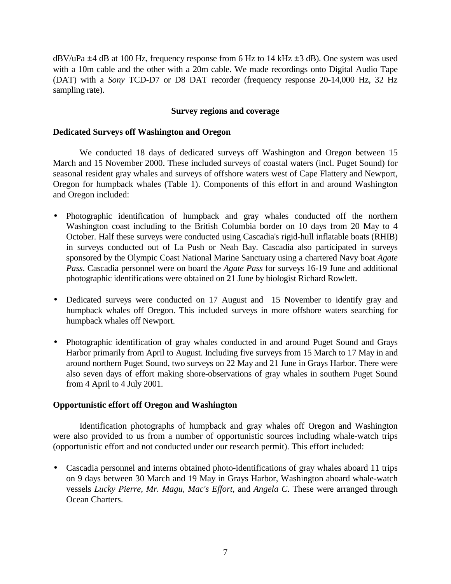<span id="page-6-0"></span> $dBV/dPa \pm 4 dB$  at 100 Hz, frequency response from 6 Hz to 14 kHz  $\pm 3 dB$ ). One system was used with a 10m cable and the other with a 20m cable. We made recordings onto Digital Audio Tape (DAT) with a *Sony* TCD-D7 or D8 DAT recorder (frequency response 20-14,000 Hz, 32 Hz sampling rate).

### **Survey regions and coverage**

### **Dedicated Surveys off Washington and Oregon**

 We conducted 18 days of dedicated surveys off Washington and Oregon between 15 March and 15 November 2000. These included surveys of coastal waters (incl. Puget Sound) for seasonal resident gray whales and surveys of offshore waters west of Cape Flattery and Newport, Oregon for humpback whales (Table 1). Components of this effort in and around Washington and Oregon included:

- Photographic identification of humpback and gray whales conducted off the northern Washington coast including to the British Columbia border on 10 days from 20 May to 4 October. Half these surveys were conducted using Cascadia's rigid-hull inflatable boats (RHIB) in surveys conducted out of La Push or Neah Bay. Cascadia also participated in surveys sponsored by the Olympic Coast National Marine Sanctuary using a chartered Navy boat *Agate Pass*. Cascadia personnel were on board the *Agate Pass* for surveys 16-19 June and additional photographic identifications were obtained on 21 June by biologist Richard Rowlett.
- Dedicated surveys were conducted on 17 August and 15 November to identify gray and humpback whales off Oregon. This included surveys in more offshore waters searching for humpback whales off Newport.
- Photographic identification of gray whales conducted in and around Puget Sound and Grays Harbor primarily from April to August. Including five surveys from 15 March to 17 May in and around northern Puget Sound, two surveys on 22 May and 21 June in Grays Harbor. There were also seven days of effort making shore-observations of gray whales in southern Puget Sound from 4 April to 4 July 2001.

### **Opportunistic effort off Oregon and Washington**

Identification photographs of humpback and gray whales off Oregon and Washington were also provided to us from a number of opportunistic sources including whale-watch trips (opportunistic effort and not conducted under our research permit). This effort included:

• Cascadia personnel and interns obtained photo-identifications of gray whales aboard 11 trips on 9 days between 30 March and 19 May in Grays Harbor, Washington aboard whale-watch vessels *Lucky Pierre, Mr. Magu, Mac's Effort*, and *Angela C*. These were arranged through Ocean Charters.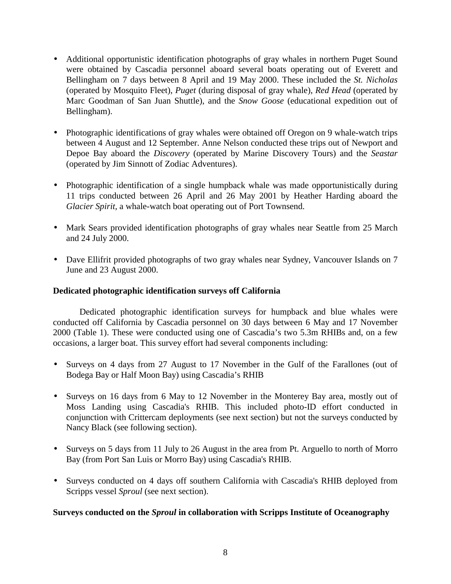- <span id="page-7-0"></span>• Additional opportunistic identification photographs of gray whales in northern Puget Sound were obtained by Cascadia personnel aboard several boats operating out of Everett and Bellingham on 7 days between 8 April and 19 May 2000. These included the *St. Nicholas* (operated by Mosquito Fleet), *Puget* (during disposal of gray whale), *Red Head* (operated by Marc Goodman of San Juan Shuttle), and the *Snow Goose* (educational expedition out of Bellingham).
- Photographic identifications of gray whales were obtained off Oregon on 9 whale-watch trips between 4 August and 12 September. Anne Nelson conducted these trips out of Newport and Depoe Bay aboard the *Discovery* (operated by Marine Discovery Tours) and the *Seastar*  (operated by Jim Sinnott of Zodiac Adventures).
- Photographic identification of a single humpback whale was made opportunistically during 11 trips conducted between 26 April and 26 May 2001 by Heather Harding aboard the *Glacier Spirit,* a whale-watch boat operating out of Port Townsend.
- Mark Sears provided identification photographs of gray whales near Seattle from 25 March and 24 July 2000.
- Dave Ellifrit provided photographs of two gray whales near Sydney, Vancouver Islands on 7 June and 23 August 2000.

### **Dedicated photographic identification surveys off California**

 Dedicated photographic identification surveys for humpback and blue whales were conducted off California by Cascadia personnel on 30 days between 6 May and 17 November 2000 (Table 1). These were conducted using one of Cascadia's two 5.3m RHIBs and, on a few occasions, a larger boat. This survey effort had several components including:

- Surveys on 4 days from 27 August to 17 November in the Gulf of the Farallones (out of Bodega Bay or Half Moon Bay) using Cascadia's RHIB
- Surveys on 16 days from 6 May to 12 November in the Monterey Bay area, mostly out of Moss Landing using Cascadia's RHIB. This included photo-ID effort conducted in conjunction with Crittercam deployments (see next section) but not the surveys conducted by Nancy Black (see following section).
- Surveys on 5 days from 11 July to 26 August in the area from Pt. Arguello to north of Morro Bay (from Port San Luis or Morro Bay) using Cascadia's RHIB.
- Surveys conducted on 4 days off southern California with Cascadia's RHIB deployed from Scripps vessel *Sproul* (see next section).

### **Surveys conducted on the** *Sproul* **in collaboration with Scripps Institute of Oceanography**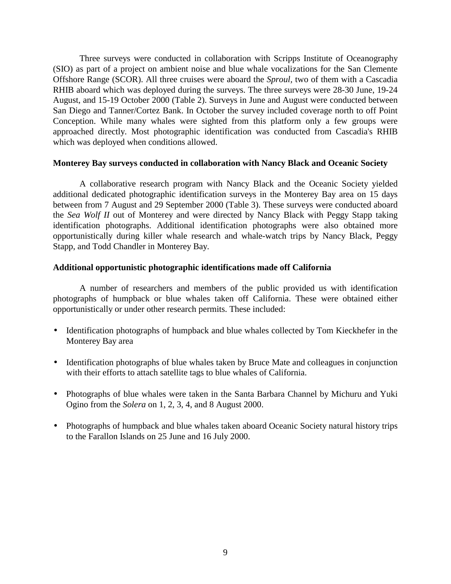<span id="page-8-0"></span> Three surveys were conducted in collaboration with Scripps Institute of Oceanography (SIO) as part of a project on ambient noise and blue whale vocalizations for the San Clemente Offshore Range (SCOR). All three cruises were aboard the *Sproul,* two of them with a Cascadia RHIB aboard which was deployed during the surveys. The three surveys were 28-30 June, 19-24 August, and 15-19 October 2000 (Table 2). Surveys in June and August were conducted between San Diego and Tanner/Cortez Bank. In October the survey included coverage north to off Point Conception. While many whales were sighted from this platform only a few groups were approached directly. Most photographic identification was conducted from Cascadia's RHIB which was deployed when conditions allowed.

### **Monterey Bay surveys conducted in collaboration with Nancy Black and Oceanic Society**

 A collaborative research program with Nancy Black and the Oceanic Society yielded additional dedicated photographic identification surveys in the Monterey Bay area on 15 days between from 7 August and 29 September 2000 (Table 3). These surveys were conducted aboard the *Sea Wolf II* out of Monterey and were directed by Nancy Black with Peggy Stapp taking identification photographs. Additional identification photographs were also obtained more opportunistically during killer whale research and whale-watch trips by Nancy Black, Peggy Stapp, and Todd Chandler in Monterey Bay.

### **Additional opportunistic photographic identifications made off California**

 A number of researchers and members of the public provided us with identification photographs of humpback or blue whales taken off California. These were obtained either opportunistically or under other research permits. These included:

- Identification photographs of humpback and blue whales collected by Tom Kieckhefer in the Monterey Bay area
- Identification photographs of blue whales taken by Bruce Mate and colleagues in conjunction with their efforts to attach satellite tags to blue whales of California.
- Photographs of blue whales were taken in the Santa Barbara Channel by Michuru and Yuki Ogino from the *Solera* on 1, 2, 3, 4, and 8 August 2000.
- Photographs of humpback and blue whales taken aboard Oceanic Society natural history trips to the Farallon Islands on 25 June and 16 July 2000.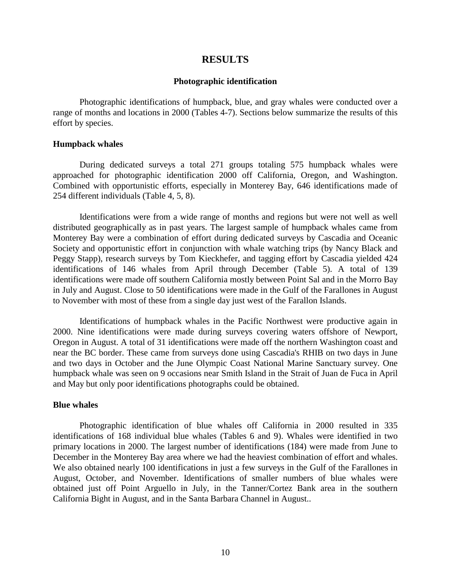### **RESULTS**

#### **Photographic identification**

<span id="page-9-0"></span> Photographic identifications of humpback, blue, and gray whales were conducted over a range of months and locations in 2000 (Tables 4-7). Sections below summarize the results of this effort by species.

### **Humpback whales**

During dedicated surveys a total 271 groups totaling 575 humpback whales were approached for photographic identification 2000 off California, Oregon, and Washington. Combined with opportunistic efforts, especially in Monterey Bay, 646 identifications made of 254 different individuals (Table 4, 5, 8).

Identifications were from a wide range of months and regions but were not well as well distributed geographically as in past years. The largest sample of humpback whales came from Monterey Bay were a combination of effort during dedicated surveys by Cascadia and Oceanic Society and opportunistic effort in conjunction with whale watching trips (by Nancy Black and Peggy Stapp), research surveys by Tom Kieckhefer, and tagging effort by Cascadia yielded 424 identifications of 146 whales from April through December (Table 5). A total of 139 identifications were made off southern California mostly between Point Sal and in the Morro Bay in July and August. Close to 50 identifications were made in the Gulf of the Farallones in August to November with most of these from a single day just west of the Farallon Islands.

Identifications of humpback whales in the Pacific Northwest were productive again in 2000. Nine identifications were made during surveys covering waters offshore of Newport, Oregon in August. A total of 31 identifications were made off the northern Washington coast and near the BC border. These came from surveys done using Cascadia's RHIB on two days in June and two days in October and the June Olympic Coast National Marine Sanctuary survey. One humpback whale was seen on 9 occasions near Smith Island in the Strait of Juan de Fuca in April and May but only poor identifications photographs could be obtained.

#### **Blue whales**

 Photographic identification of blue whales off California in 2000 resulted in 335 identifications of 168 individual blue whales (Tables 6 and 9). Whales were identified in two primary locations in 2000. The largest number of identifications (184) were made from June to December in the Monterey Bay area where we had the heaviest combination of effort and whales. We also obtained nearly 100 identifications in just a few surveys in the Gulf of the Farallones in August, October, and November. Identifications of smaller numbers of blue whales were obtained just off Point Arguello in July, in the Tanner/Cortez Bank area in the southern California Bight in August, and in the Santa Barbara Channel in August..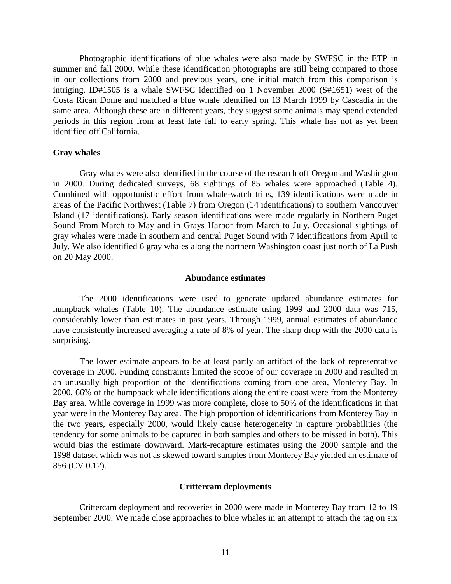<span id="page-10-0"></span> Photographic identifications of blue whales were also made by SWFSC in the ETP in summer and fall 2000. While these identification photographs are still being compared to those in our collections from 2000 and previous years, one initial match from this comparison is intriging. ID#1505 is a whale SWFSC identified on 1 November 2000 (S#1651) west of the Costa Rican Dome and matched a blue whale identified on 13 March 1999 by Cascadia in the same area. Although these are in different years, they suggest some animals may spend extended periods in this region from at least late fall to early spring. This whale has not as yet been identified off California.

#### **Gray whales**

 Gray whales were also identified in the course of the research off Oregon and Washington in 2000. During dedicated surveys, 68 sightings of 85 whales were approached (Table 4). Combined with opportunistic effort from whale-watch trips, 139 identifications were made in areas of the Pacific Northwest (Table 7) from Oregon (14 identifications) to southern Vancouver Island (17 identifications). Early season identifications were made regularly in Northern Puget Sound From March to May and in Grays Harbor from March to July. Occasional sightings of gray whales were made in southern and central Puget Sound with 7 identifications from April to July. We also identified 6 gray whales along the northern Washington coast just north of La Push on 20 May 2000.

#### **Abundance estimates**

 The 2000 identifications were used to generate updated abundance estimates for humpback whales (Table 10). The abundance estimate using 1999 and 2000 data was 715, considerably lower than estimates in past years. Through 1999, annual estimates of abundance have consistently increased averaging a rate of 8% of year. The sharp drop with the 2000 data is surprising.

The lower estimate appears to be at least partly an artifact of the lack of representative coverage in 2000. Funding constraints limited the scope of our coverage in 2000 and resulted in an unusually high proportion of the identifications coming from one area, Monterey Bay. In 2000, 66% of the humpback whale identifications along the entire coast were from the Monterey Bay area. While coverage in 1999 was more complete, close to 50% of the identifications in that year were in the Monterey Bay area. The high proportion of identifications from Monterey Bay in the two years, especially 2000, would likely cause heterogeneity in capture probabilities (the tendency for some animals to be captured in both samples and others to be missed in both). This would bias the estimate downward. Mark-recapture estimates using the 2000 sample and the 1998 dataset which was not as skewed toward samples from Monterey Bay yielded an estimate of 856 (CV 0.12).

#### **Crittercam deployments**

 Crittercam deployment and recoveries in 2000 were made in Monterey Bay from 12 to 19 September 2000. We made close approaches to blue whales in an attempt to attach the tag on six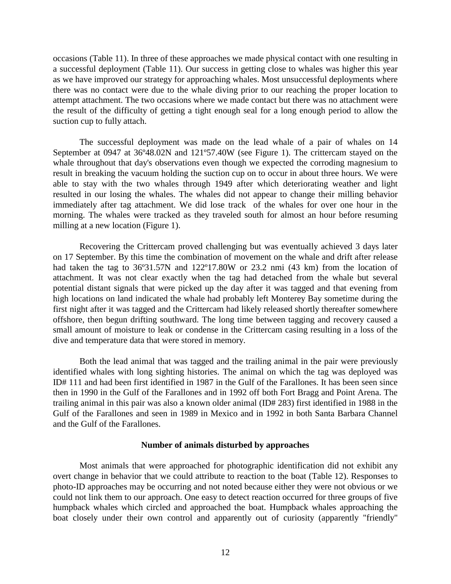<span id="page-11-0"></span>occasions (Table 11). In three of these approaches we made physical contact with one resulting in a successful deployment (Table 11). Our success in getting close to whales was higher this year as we have improved our strategy for approaching whales. Most unsuccessful deployments where there was no contact were due to the whale diving prior to our reaching the proper location to attempt attachment. The two occasions where we made contact but there was no attachment were the result of the difficulty of getting a tight enough seal for a long enough period to allow the suction cup to fully attach.

The successful deployment was made on the lead whale of a pair of whales on 14 September at 0947 at 36º48.02N and 121º57.40W (see Figure 1). The crittercam stayed on the whale throughout that day's observations even though we expected the corroding magnesium to result in breaking the vacuum holding the suction cup on to occur in about three hours. We were able to stay with the two whales through 1949 after which deteriorating weather and light resulted in our losing the whales. The whales did not appear to change their milling behavior immediately after tag attachment. We did lose track of the whales for over one hour in the morning. The whales were tracked as they traveled south for almost an hour before resuming milling at a new location (Figure 1).

Recovering the Crittercam proved challenging but was eventually achieved 3 days later on 17 September. By this time the combination of movement on the whale and drift after release had taken the tag to 36°31.57N and 122°17.80W or 23.2 nmi (43 km) from the location of attachment. It was not clear exactly when the tag had detached from the whale but several potential distant signals that were picked up the day after it was tagged and that evening from high locations on land indicated the whale had probably left Monterey Bay sometime during the first night after it was tagged and the Crittercam had likely released shortly thereafter somewhere offshore, then begun drifting southward. The long time between tagging and recovery caused a small amount of moisture to leak or condense in the Crittercam casing resulting in a loss of the dive and temperature data that were stored in memory.

Both the lead animal that was tagged and the trailing animal in the pair were previously identified whales with long sighting histories. The animal on which the tag was deployed was ID# 111 and had been first identified in 1987 in the Gulf of the Farallones. It has been seen since then in 1990 in the Gulf of the Farallones and in 1992 off both Fort Bragg and Point Arena. The trailing animal in this pair was also a known older animal (ID# 283) first identified in 1988 in the Gulf of the Farallones and seen in 1989 in Mexico and in 1992 in both Santa Barbara Channel and the Gulf of the Farallones.

### **Number of animals disturbed by approaches**

 Most animals that were approached for photographic identification did not exhibit any overt change in behavior that we could attribute to reaction to the boat (Table 12). Responses to photo-ID approaches may be occurring and not noted because either they were not obvious or we could not link them to our approach. One easy to detect reaction occurred for three groups of five humpback whales which circled and approached the boat. Humpback whales approaching the boat closely under their own control and apparently out of curiosity (apparently "friendly"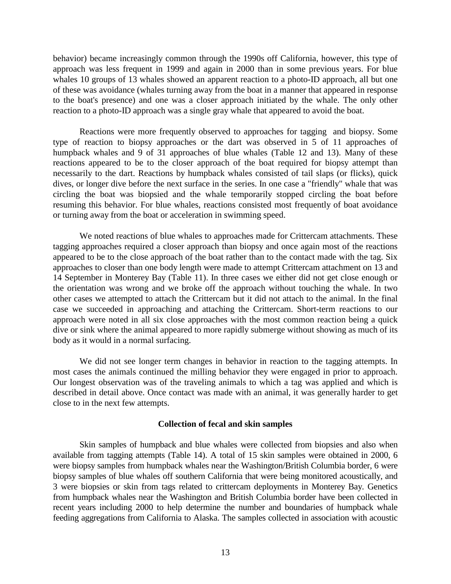<span id="page-12-0"></span>behavior) became increasingly common through the 1990s off California, however, this type of approach was less frequent in 1999 and again in 2000 than in some previous years. For blue whales 10 groups of 13 whales showed an apparent reaction to a photo-ID approach, all but one of these was avoidance (whales turning away from the boat in a manner that appeared in response to the boat's presence) and one was a closer approach initiated by the whale. The only other reaction to a photo-ID approach was a single gray whale that appeared to avoid the boat.

 Reactions were more frequently observed to approaches for tagging and biopsy. Some type of reaction to biopsy approaches or the dart was observed in 5 of 11 approaches of humpback whales and 9 of 31 approaches of blue whales (Table 12 and 13). Many of these reactions appeared to be to the closer approach of the boat required for biopsy attempt than necessarily to the dart. Reactions by humpback whales consisted of tail slaps (or flicks), quick dives, or longer dive before the next surface in the series. In one case a "friendly" whale that was circling the boat was biopsied and the whale temporarily stopped circling the boat before resuming this behavior. For blue whales, reactions consisted most frequently of boat avoidance or turning away from the boat or acceleration in swimming speed.

 We noted reactions of blue whales to approaches made for Crittercam attachments. These tagging approaches required a closer approach than biopsy and once again most of the reactions appeared to be to the close approach of the boat rather than to the contact made with the tag. Six approaches to closer than one body length were made to attempt Crittercam attachment on 13 and 14 September in Monterey Bay (Table 11). In three cases we either did not get close enough or the orientation was wrong and we broke off the approach without touching the whale. In two other cases we attempted to attach the Crittercam but it did not attach to the animal. In the final case we succeeded in approaching and attaching the Crittercam. Short-term reactions to our approach were noted in all six close approaches with the most common reaction being a quick dive or sink where the animal appeared to more rapidly submerge without showing as much of its body as it would in a normal surfacing.

We did not see longer term changes in behavior in reaction to the tagging attempts. In most cases the animals continued the milling behavior they were engaged in prior to approach. Our longest observation was of the traveling animals to which a tag was applied and which is described in detail above. Once contact was made with an animal, it was generally harder to get close to in the next few attempts.

#### **Collection of fecal and skin samples**

 Skin samples of humpback and blue whales were collected from biopsies and also when available from tagging attempts (Table 14). A total of 15 skin samples were obtained in 2000, 6 were biopsy samples from humpback whales near the Washington/British Columbia border, 6 were biopsy samples of blue whales off southern California that were being monitored acoustically, and 3 were biopsies or skin from tags related to crittercam deployments in Monterey Bay. Genetics from humpback whales near the Washington and British Columbia border have been collected in recent years including 2000 to help determine the number and boundaries of humpback whale feeding aggregations from California to Alaska. The samples collected in association with acoustic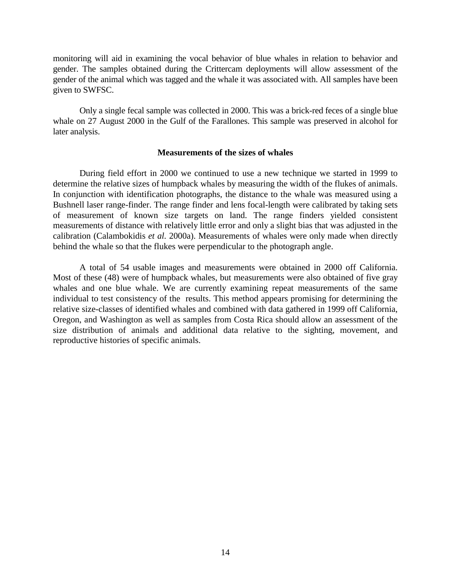<span id="page-13-0"></span>monitoring will aid in examining the vocal behavior of blue whales in relation to behavior and gender. The samples obtained during the Crittercam deployments will allow assessment of the gender of the animal which was tagged and the whale it was associated with. All samples have been given to SWFSC.

 Only a single fecal sample was collected in 2000. This was a brick-red feces of a single blue whale on 27 August 2000 in the Gulf of the Farallones. This sample was preserved in alcohol for later analysis.

#### **Measurements of the sizes of whales**

During field effort in 2000 we continued to use a new technique we started in 1999 to determine the relative sizes of humpback whales by measuring the width of the flukes of animals. In conjunction with identification photographs, the distance to the whale was measured using a Bushnell laser range-finder. The range finder and lens focal-length were calibrated by taking sets of measurement of known size targets on land. The range finders yielded consistent measurements of distance with relatively little error and only a slight bias that was adjusted in the calibration (Calambokidis *et al.* 2000a). Measurements of whales were only made when directly behind the whale so that the flukes were perpendicular to the photograph angle.

A total of 54 usable images and measurements were obtained in 2000 off California. Most of these (48) were of humpback whales, but measurements were also obtained of five gray whales and one blue whale. We are currently examining repeat measurements of the same individual to test consistency of the results. This method appears promising for determining the relative size-classes of identified whales and combined with data gathered in 1999 off California, Oregon, and Washington as well as samples from Costa Rica should allow an assessment of the size distribution of animals and additional data relative to the sighting, movement, and reproductive histories of specific animals.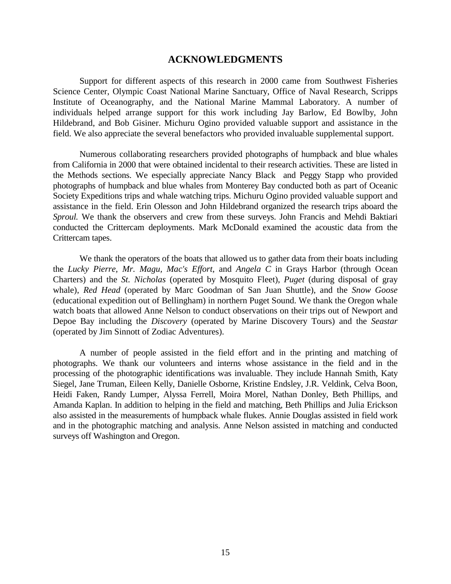### **ACKNOWLEDGMENTS**

<span id="page-14-0"></span>Support for different aspects of this research in 2000 came from Southwest Fisheries Science Center, Olympic Coast National Marine Sanctuary, Office of Naval Research, Scripps Institute of Oceanography, and the National Marine Mammal Laboratory. A number of individuals helped arrange support for this work including Jay Barlow, Ed Bowlby, John Hildebrand, and Bob Gisiner. Michuru Ogino provided valuable support and assistance in the field. We also appreciate the several benefactors who provided invaluable supplemental support.

Numerous collaborating researchers provided photographs of humpback and blue whales from California in 2000 that were obtained incidental to their research activities. These are listed in the Methods sections. We especially appreciate Nancy Black and Peggy Stapp who provided photographs of humpback and blue whales from Monterey Bay conducted both as part of Oceanic Society Expeditions trips and whale watching trips. Michuru Ogino provided valuable support and assistance in the field. Erin Olesson and John Hildebrand organized the research trips aboard the *Sproul.* We thank the observers and crew from these surveys. John Francis and Mehdi Baktiari conducted the Crittercam deployments. Mark McDonald examined the acoustic data from the Crittercam tapes.

We thank the operators of the boats that allowed us to gather data from their boats including the *Lucky Pierre, Mr. Magu, Mac's Effort*, and *Angela C* in Grays Harbor (through Ocean Charters) and the *St. Nicholas* (operated by Mosquito Fleet), *Puget* (during disposal of gray whale), *Red Head* (operated by Marc Goodman of San Juan Shuttle), and the *Snow Goose* (educational expedition out of Bellingham) in northern Puget Sound. We thank the Oregon whale watch boats that allowed Anne Nelson to conduct observations on their trips out of Newport and Depoe Bay including the *Discovery* (operated by Marine Discovery Tours) and the *Seastar*  (operated by Jim Sinnott of Zodiac Adventures).

A number of people assisted in the field effort and in the printing and matching of photographs. We thank our volunteers and interns whose assistance in the field and in the processing of the photographic identifications was invaluable. They include Hannah Smith, Katy Siegel, Jane Truman, Eileen Kelly, Danielle Osborne, Kristine Endsley, J.R. Veldink, Celva Boon, Heidi Faken, Randy Lumper, Alyssa Ferrell, Moira Morel, Nathan Donley, Beth Phillips, and Amanda Kaplan. In addition to helping in the field and matching, Beth Phillips and Julia Erickson also assisted in the measurements of humpback whale flukes. Annie Douglas assisted in field work and in the photographic matching and analysis. Anne Nelson assisted in matching and conducted surveys off Washington and Oregon.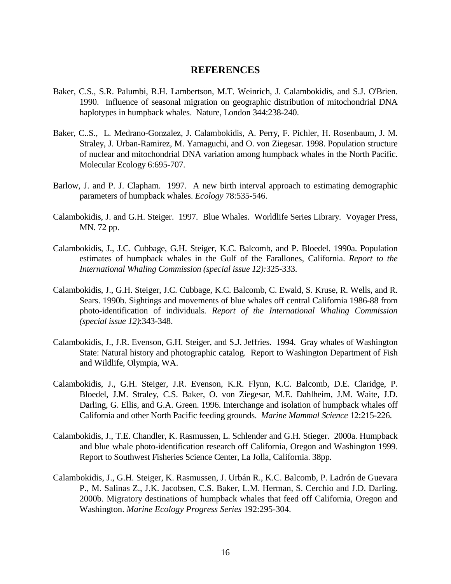### **REFERENCES**

- <span id="page-15-0"></span>Baker, C.S., S.R. Palumbi, R.H. Lambertson, M.T. Weinrich, J. Calambokidis, and S.J. O'Brien. 1990. Influence of seasonal migration on geographic distribution of mitochondrial DNA haplotypes in humpback whales. Nature, London 344:238-240.
- Baker, C..S., L. Medrano-Gonzalez, J. Calambokidis, A. Perry, F. Pichler, H. Rosenbaum, J. M. Straley, J. Urban-Ramirez, M. Yamaguchi, and O. von Ziegesar. 1998. Population structure of nuclear and mitochondrial DNA variation among humpback whales in the North Pacific. Molecular Ecology 6:695-707.
- Barlow, J. and P. J. Clapham. 1997. A new birth interval approach to estimating demographic parameters of humpback whales. *Ecology* 78:535-546.
- Calambokidis, J. and G.H. Steiger. 1997. Blue Whales. Worldlife Series Library. Voyager Press, MN. 72 pp.
- Calambokidis, J., J.C. Cubbage, G.H. Steiger, K.C. Balcomb, and P. Bloedel. 1990a. Population estimates of humpback whales in the Gulf of the Farallones, California. *Report to the International Whaling Commission (special issue 12):*325-333.
- Calambokidis, J., G.H. Steiger, J.C. Cubbage, K.C. Balcomb, C. Ewald, S. Kruse, R. Wells, and R. Sears. 1990b. Sightings and movements of blue whales off central California 1986-88 from photo-identification of individuals*. Report of the International Whaling Commission (special issue 12)*:343-348.
- Calambokidis, J., J.R. Evenson, G.H. Steiger, and S.J. Jeffries. 1994. Gray whales of Washington State: Natural history and photographic catalog. Report to Washington Department of Fish and Wildlife, Olympia, WA.
- Calambokidis, J., G.H. Steiger, J.R. Evenson, K.R. Flynn, K.C. Balcomb, D.E. Claridge, P. Bloedel, J.M. Straley, C.S. Baker, O. von Ziegesar, M.E. Dahlheim, J.M. Waite, J.D. Darling, G. Ellis, and G.A. Green. 1996. Interchange and isolation of humpback whales off California and other North Pacific feeding grounds. *Marine Mammal Science* 12:215-226.
- Calambokidis, J., T.E. Chandler, K. Rasmussen, L. Schlender and G.H. Stieger. 2000a. Humpback and blue whale photo-identification research off California, Oregon and Washington 1999. Report to Southwest Fisheries Science Center, La Jolla, California. 38pp.
- Calambokidis, J., G.H. Steiger, K. Rasmussen, J. Urbán R., K.C. Balcomb, P. Ladrón de Guevara P., M. Salinas Z., J.K. Jacobsen, C.S. Baker, L.M. Herman, S. Cerchio and J.D. Darling. 2000b. Migratory destinations of humpback whales that feed off California, Oregon and Washington. *Marine Ecology Progress Series* 192:295-304.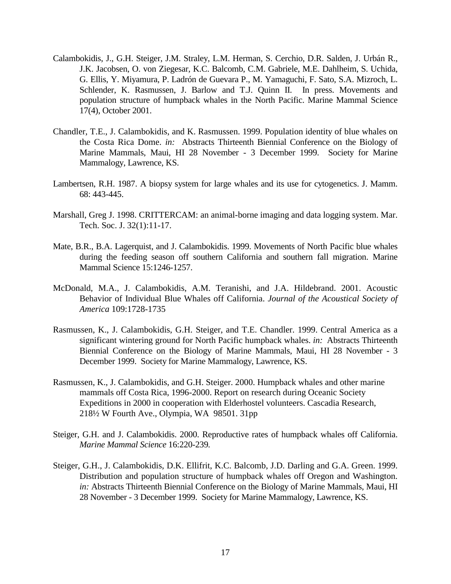- Calambokidis, J., G.H. Steiger, J.M. Straley, L.M. Herman, S. Cerchio, D.R. Salden, J. Urbán R., J.K. Jacobsen, O. von Ziegesar, K.C. Balcomb, C.M. Gabriele, M.E. Dahlheim, S. Uchida, G. Ellis, Y. Miyamura, P. Ladrón de Guevara P., M. Yamaguchi, F. Sato, S.A. Mizroch, L. Schlender, K. Rasmussen, J. Barlow and T.J. Quinn II. In press. Movements and population structure of humpback whales in the North Pacific. Marine Mammal Science 17(4), October 2001.
- Chandler, T.E., J. Calambokidis, and K. Rasmussen. 1999. Population identity of blue whales on the Costa Rica Dome. *in:* Abstracts Thirteenth Biennial Conference on the Biology of Marine Mammals, Maui, HI 28 November - 3 December 1999. Society for Marine Mammalogy, Lawrence, KS.
- Lambertsen, R.H. 1987. A biopsy system for large whales and its use for cytogenetics. J. Mamm. 68: 443-445.
- Marshall, Greg J. 1998. CRITTERCAM: an animal-borne imaging and data logging system. Mar. Tech. Soc. J. 32(1):11-17.
- Mate, B.R., B.A. Lagerquist, and J. Calambokidis. 1999. Movements of North Pacific blue whales during the feeding season off southern California and southern fall migration. Marine Mammal Science 15:1246-1257.
- McDonald, M.A., J. Calambokidis, A.M. Teranishi, and J.A. Hildebrand. 2001. Acoustic Behavior of Individual Blue Whales off California. *Journal of the Acoustical Society of America* 109:1728-1735
- Rasmussen, K., J. Calambokidis, G.H. Steiger, and T.E. Chandler. 1999. Central America as a significant wintering ground for North Pacific humpback whales. *in:* Abstracts Thirteenth Biennial Conference on the Biology of Marine Mammals, Maui, HI 28 November - 3 December 1999. Society for Marine Mammalogy, Lawrence, KS.
- Rasmussen, K., J. Calambokidis, and G.H. Steiger. 2000. Humpback whales and other marine mammals off Costa Rica, 1996-2000. Report on research during Oceanic Society Expeditions in 2000 in cooperation with Elderhostel volunteers. Cascadia Research, 218½ W Fourth Ave., Olympia, WA 98501. 31pp
- Steiger, G.H. and J. Calambokidis. 2000. Reproductive rates of humpback whales off California. *Marine Mammal Science* 16:220-239*.*
- Steiger, G.H., J. Calambokidis, D.K. Ellifrit, K.C. Balcomb, J.D. Darling and G.A. Green. 1999. Distribution and population structure of humpback whales off Oregon and Washington. *in:* Abstracts Thirteenth Biennial Conference on the Biology of Marine Mammals, Maui, HI 28 November - 3 December 1999. Society for Marine Mammalogy, Lawrence, KS.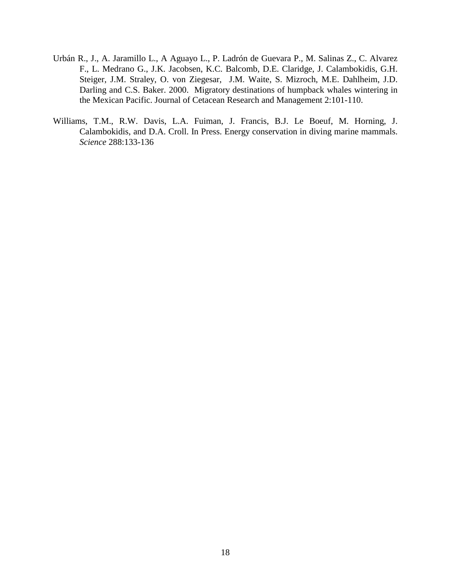- Urbán R., J., A. Jaramillo L., A Aguayo L., P. Ladrón de Guevara P., M. Salinas Z., C. Alvarez F., L. Medrano G., J.K. Jacobsen, K.C. Balcomb, D.E. Claridge, J. Calambokidis, G.H. Steiger, J.M. Straley, O. von Ziegesar, J.M. Waite, S. Mizroch, M.E. Dahlheim, J.D. Darling and C.S. Baker. 2000. Migratory destinations of humpback whales wintering in the Mexican Pacific. Journal of Cetacean Research and Management 2:101-110.
- Williams, T.M., R.W. Davis, L.A. Fuiman, J. Francis, B.J. Le Boeuf, M. Horning, J. Calambokidis, and D.A. Croll. In Press. Energy conservation in diving marine mammals. *Science* 288:133-136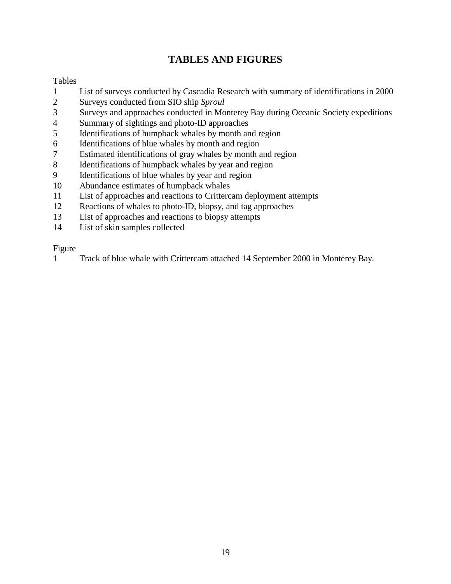# **TABLES AND FIGURES**

### <span id="page-18-0"></span>Tables

- 1 List of surveys conducted by Cascadia Research with summary of identifications in 2000
- 2 Surveys conducted from SIO ship *Sproul*
- 3 Surveys and approaches conducted in Monterey Bay during Oceanic Society expeditions
- 4 Summary of sightings and photo-ID approaches
- 5 Identifications of humpback whales by month and region
- 6 Identifications of blue whales by month and region
- 7 Estimated identifications of gray whales by month and region
- 8 Identifications of humpback whales by year and region
- 9 Identifications of blue whales by year and region
- 10 Abundance estimates of humpback whales
- 11 List of approaches and reactions to Crittercam deployment attempts
- 12 Reactions of whales to photo-ID, biopsy, and tag approaches
- 13 List of approaches and reactions to biopsy attempts
- 14 List of skin samples collected

### Figure

1 Track of blue whale with Crittercam attached 14 September 2000 in Monterey Bay.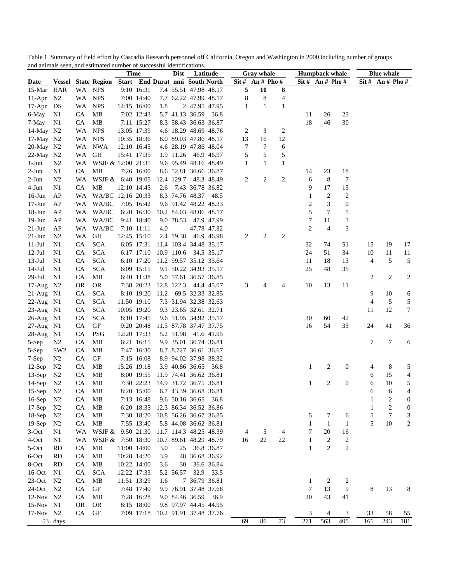| $\text{Sit }# \text{ An }# \text{ Pho }#$<br>Start End Durat nmi South North<br>$\text{Sit } \# \quad \text{An } \# \text{ Pho } \#$<br>$\text{Sit }# \text{ An }# \text{ Pho }#$<br>Date<br><b>Vessel State Region</b><br>5<br>HAR<br>10<br>8<br>WA NPS<br>9:10 16:31<br>7.4 55.51 47.98 48.17<br>15-Mar<br>$\,$ 8 $\,$<br>WA NPS<br>7:00 14:40<br>$\boldsymbol{8}$<br>$\overline{4}$<br>$11-Apr$ N2<br>7.7 62.22 47.99 48.17<br>$\mathbf{1}$<br>$\mathbf{1}$<br>WA .<br><b>NPS</b><br>14:15 16:00<br>1.8<br>2 47.95 47.95<br>1<br>DS<br>5.7 41.13 36.59<br>23<br><b>CA</b><br>MB<br>7:02 12:43<br>36.8<br>26<br>N1<br>11<br>46<br>30<br>CA<br>MB<br>7:11 15:27<br>8.3 58.43 36.63 36.87<br>18<br>N <sub>1</sub><br>3<br>14-May N2<br>WA<br><b>NPS</b><br>13:05 17:39<br>4.6 18.29 48.69 48.76<br>2<br>2<br>12<br><b>NPS</b><br>16<br>17-May N2<br>WA<br>10:35 18:36<br>8.0 89.03 47.86 48.17<br>13<br>7<br>20-May N2<br>WA<br><b>NWA</b><br>12:10 16:45<br>4.6 28.19 47.86 48.04<br>7<br>6<br>$\mathfrak s$<br>$\sqrt{5}$<br>5<br>22-May N2<br>WA<br><b>GH</b><br>15:41 17:35<br>1.9 11.26<br>46.9 46.97<br>$\mathbf{1}$<br>N <sub>2</sub><br>WA<br>WSJF & 12:00 21:35<br>9.6 95.49 48.16 48.49<br>$\mathbf{1}$<br>$\mathbf{1}$<br>N <sub>1</sub><br><b>CA</b><br><b>MB</b><br>7:26 16:00<br>8.6 52.81 36.66 36.87<br>23<br>18<br>14<br>$\overline{c}$<br>2<br>6<br>8<br>7<br>$2-Jun$<br>N <sub>2</sub><br>WA<br>WSJF & 6:40 19:05<br>12.4 129.7<br>48.3 48.49<br>2<br>9<br>17<br>13<br>N <sub>1</sub><br><b>CA</b><br>7.43 36.78 36.82<br>MВ<br>12:10 14:45<br>2.6<br>$\overline{2}$<br>WA/BC 12:16 20:33<br>8.3 74.76 48.37 48.5<br>$\overline{c}$<br>$16$ -Jun<br>AP<br>WA<br>1<br>3<br>9.6 91.42 48.22 48.33<br>2<br>$\boldsymbol{0}$<br>$17-Jun$<br>AP<br>WA/BC<br>7:05 16:42<br>WA<br>5<br>$7\phantom{.0}$<br>5<br>$18-Jun$<br>AP<br>WA/BC<br>6:20 16:30<br>10.2 84.03 48.06 48.17<br>WA<br>$\mathfrak{Z}$<br>7<br>11<br>$19-J$ un<br>AP<br>WA/BC<br>9:41 18:40<br>9.0 78.53<br>47.9 47.99<br>WA<br>$\mathfrak{2}$<br>$\overline{4}$<br>3<br>$21-Jun$<br>AP<br>WA/BC<br>7:10 11:11<br>4.0<br>47.78 47.82<br>WA<br>$\overline{c}$<br>2<br>$21-Jun$<br><b>GH</b><br>12:45 15:10<br>2.4 19.38<br>2<br>N <sub>2</sub><br>WA<br>46.9 46.98<br><b>SCA</b><br>17<br>$11-Jul$<br>N <sub>1</sub><br><b>CA</b><br>6:05 17:31<br>11.4 103.4 34.48 35.17<br>32<br>74<br>51<br>15<br>19<br><b>SCA</b><br>51<br>11<br>$12-Jul$<br>N <sub>1</sub><br><b>CA</b><br>6:17 17:10<br>10.9 110.6<br>34.5 35.17<br>24<br>34<br>10<br>11<br>5<br>5<br>$13-Jul$<br><b>CA</b><br><b>SCA</b><br>6:10 17:20<br>11.2 99.57 35.12 35.64<br>11<br>18<br>13<br>4<br>N1<br>48<br>35<br>$14-Jul$<br>N <sub>1</sub><br><b>CA</b><br><b>SCA</b><br>6:09 15:15<br>9.1 50.22 34.93 35.17<br>25<br>2<br>$\overline{c}$<br>2<br>$29-Jul$<br>N <sub>1</sub><br><b>CA</b><br>MB<br>6:40 11:38<br>5.0 57.61 36.57 36.85<br>17-Aug N2<br><b>OR</b><br><b>OR</b><br>7:38 20:23<br>12.8 122.3<br>44.4 45.07<br>3<br>10<br>13<br>11<br>4<br>4<br><b>SCA</b><br>69.5 32.33 32.85<br>9<br>10<br>$21$ -Aug N1<br><b>CA</b><br>8:10 19:20<br>11.2<br>6<br>$\sqrt{5}$<br>5<br>CA<br><b>SCA</b><br>7.3 31.94 32.38 32.63<br>4<br>22-Aug N1<br>11:50 19:10<br><b>SCA</b><br>9.3 23.65 32.61 32.71<br>12<br>$\tau$<br>$23$ -Aug<br><b>CA</b><br>10:05 19:20<br>11<br>N1<br>60<br>$26$ -Aug<br><b>CA</b><br><b>SCA</b><br>8:10 17:45<br>9.6 51.95 34.92 35.17<br>30<br>42<br>N1<br>CA<br>11.5 87.78 37.47 37.75<br>16<br>54<br>33<br>36<br>$27 - Aug$<br>GF<br>24<br>41<br>N1<br>9:20 20:48<br>$28-Aug$<br>CA<br><b>PSG</b><br>12:20 17:33<br>5.2 51.98<br>41.6 41.95<br>N1<br>$\overline{7}$<br>7<br>6<br>5-Sep<br>N <sub>2</sub><br><b>CA</b><br><b>MB</b><br>6:21 16:15<br>9.9 35.01 36.74 36.81<br>5-Sep<br>SW <sub>2</sub><br><b>CA</b><br><b>MB</b><br>7:47 16:30<br>8.7 8.727 36.61 36.67<br>CA<br>GF<br>7-Sep<br>N <sub>2</sub><br>7:15 16:08<br>8.9 94.02 37.98 38.32<br>2<br>$\boldsymbol{0}$<br>5<br>$12-Sep$<br>N <sub>2</sub><br><b>CA</b><br>MB<br>15:26 19:18<br>3.9 40.86 36.65 36.8<br>$\mathbf{1}$<br>8<br>4<br>$13-Sep$<br><b>CA</b><br>MB<br>8:00 19:55<br>11.9 74.41 36.62 36.81<br>15<br>4<br>N <sub>2</sub><br>6<br>$\overline{c}$<br>$\boldsymbol{0}$<br>10<br>5<br>$14-Sep$<br>CA<br>MB<br>7:30 22:23<br>14.9 31.72 36.75 36.81<br>1<br>6<br>N <sub>2</sub><br>6<br><b>CA</b><br>MB<br>8:20 15:00<br>6.7 43.39 36.68 36.81<br>6<br>4<br>N <sub>2</sub><br>$16-Sep$<br>N <sub>2</sub><br>CA<br>MB<br>7:13 16:48<br>9.6 50.16 36.65 36.8<br>$\sqrt{2}$<br>$\boldsymbol{0}$<br>$\mathbf{1}$<br>2<br>$17-Sep$<br><b>CA</b><br>MB<br>12.3 86.34 36.52 36.86<br>1<br>$\boldsymbol{0}$<br>N <sub>2</sub><br>6:20 18:35<br>$18-Sep$<br>7:30 18:20 10.8 56.26 36.67 36.85<br>5<br>7<br>3<br>N <sub>2</sub><br><b>CA</b><br>MB<br>7<br>5<br>6<br>5<br>$19-Sep$<br>10<br>2<br><b>CA</b><br>MB<br>7:55 13:40<br>5.8 44.08 36.62 36.81<br>1<br>-1<br>1<br>N <sub>2</sub><br>WSJF &<br>9:50 21:30 11.7 114.3 48.25 48.39<br>$3-Oct$<br>WA<br>5<br>4<br>7<br>20<br>N1<br>16<br>4<br>22<br>$\boldsymbol{2}$<br>4-Oct<br>WSJF & 7:50 18:30<br>10.7 89.61 48.29 48.79<br>16<br>22<br>$\overline{c}$<br>N1<br>WA<br>1<br>$\mathbf{2}$<br>$\mathbf{2}$<br>5-Oct<br><b>RD</b><br><b>CA</b><br>MB<br>11:00 14:00<br>3.0<br>25<br>36.8 36.87<br>1<br>CA<br>MB<br>10:28 14:20<br>48 36.68 36.92<br>6-Oct<br><b>RD</b><br>3.9<br>8-Oct<br><b>RD</b><br><b>CA</b><br>MB<br>10:22 14:00<br>3.6<br>30<br>36.6 36.84<br>$16$ -Oct<br>CA<br><b>SCA</b><br>12:22 17:33<br>32.9 33.5<br>5.2 56.57<br>N1<br>$23$ -Oct<br>7 36.79 36.81<br><b>CA</b><br>MB<br>11:51 13:29<br>N <sub>2</sub><br>1.6<br>1<br>2<br>2<br>$24$ -Oct<br>9.9 76.91 37.48 37.68<br><b>CA</b><br>GF<br>7:48 17:40<br>7<br>13<br>9<br>8<br>13<br>N <sub>2</sub><br>8<br>12-Nov N2<br>9.0 84.46 36.59 36.9<br>20<br>43<br>CA<br>MB<br>7:28 16:28<br>41<br>15-Nov N1<br><b>OR</b><br>8:15 18:00<br>9.8 97.97 44.45 44.95<br><b>OR</b><br>17-Nov N2<br>GF<br>10.2 91.91 37.48 37.76<br>CA<br>7:09 17:18<br>3<br>3<br>33<br>55<br>4<br>58<br>73<br>563<br>405<br>243<br>181<br>69<br>86<br>271<br>161<br>53 days |          |  | and annual been, and estimated named or successive recitameations. | <b>Time</b> |  | <b>Dist</b> | Latitude |  | <b>Gray whale</b> | <b>Humpback whale</b> |  | <b>Blue whale</b> |  |
|----------------------------------------------------------------------------------------------------------------------------------------------------------------------------------------------------------------------------------------------------------------------------------------------------------------------------------------------------------------------------------------------------------------------------------------------------------------------------------------------------------------------------------------------------------------------------------------------------------------------------------------------------------------------------------------------------------------------------------------------------------------------------------------------------------------------------------------------------------------------------------------------------------------------------------------------------------------------------------------------------------------------------------------------------------------------------------------------------------------------------------------------------------------------------------------------------------------------------------------------------------------------------------------------------------------------------------------------------------------------------------------------------------------------------------------------------------------------------------------------------------------------------------------------------------------------------------------------------------------------------------------------------------------------------------------------------------------------------------------------------------------------------------------------------------------------------------------------------------------------------------------------------------------------------------------------------------------------------------------------------------------------------------------------------------------------------------------------------------------------------------------------------------------------------------------------------------------------------------------------------------------------------------------------------------------------------------------------------------------------------------------------------------------------------------------------------------------------------------------------------------------------------------------------------------------------------------------------------------------------------------------------------------------------------------------------------------------------------------------------------------------------------------------------------------------------------------------------------------------------------------------------------------------------------------------------------------------------------------------------------------------------------------------------------------------------------------------------------------------------------------------------------------------------------------------------------------------------------------------------------------------------------------------------------------------------------------------------------------------------------------------------------------------------------------------------------------------------------------------------------------------------------------------------------------------------------------------------------------------------------------------------------------------------------------------------------------------------------------------------------------------------------------------------------------------------------------------------------------------------------------------------------------------------------------------------------------------------------------------------------------------------------------------------------------------------------------------------------------------------------------------------------------------------------------------------------------------------------------------------------------------------------------------------------------------------------------------------------------------------------------------------------------------------------------------------------------------------------------------------------------------------------------------------------------------------------------------------------------------------------------------------------------------------------------------------------------------------------------------------------------------------------------------------------------------------------------------------------------------------------------------------------------------------------------------------------------------------------------------------------------------------------------------------------------------------------------------------------------------------------------------------------------------------------------------------------------------------------------------------------------------------------------------------------------------------------------------------------------------------------------------------------------------------------------------------------------------------------------------------------------------------------------------------------------------------------------------------------------------------------------------------------------------------------------------------------------------------------------------------------------------------------------------------------------------------------------------------------------------------------------------------------------------------------------------------------------------------------------------------------------------------------------------------------------------------------------------------------------------------------|----------|--|--------------------------------------------------------------------|-------------|--|-------------|----------|--|-------------------|-----------------------|--|-------------------|--|
|                                                                                                                                                                                                                                                                                                                                                                                                                                                                                                                                                                                                                                                                                                                                                                                                                                                                                                                                                                                                                                                                                                                                                                                                                                                                                                                                                                                                                                                                                                                                                                                                                                                                                                                                                                                                                                                                                                                                                                                                                                                                                                                                                                                                                                                                                                                                                                                                                                                                                                                                                                                                                                                                                                                                                                                                                                                                                                                                                                                                                                                                                                                                                                                                                                                                                                                                                                                                                                                                                                                                                                                                                                                                                                                                                                                                                                                                                                                                                                                                                                                                                                                                                                                                                                                                                                                                                                                                                                                                                                                                                                                                                                                                                                                                                                                                                                                                                                                                                                                                                                                                                                                                                                                                                                                                                                                                                                                                                                                                                                                                                                                                                                                                                                                                                                                                                                                                                                                                                                                                                                                                                                                            |          |  |                                                                    |             |  |             |          |  |                   |                       |  |                   |  |
|                                                                                                                                                                                                                                                                                                                                                                                                                                                                                                                                                                                                                                                                                                                                                                                                                                                                                                                                                                                                                                                                                                                                                                                                                                                                                                                                                                                                                                                                                                                                                                                                                                                                                                                                                                                                                                                                                                                                                                                                                                                                                                                                                                                                                                                                                                                                                                                                                                                                                                                                                                                                                                                                                                                                                                                                                                                                                                                                                                                                                                                                                                                                                                                                                                                                                                                                                                                                                                                                                                                                                                                                                                                                                                                                                                                                                                                                                                                                                                                                                                                                                                                                                                                                                                                                                                                                                                                                                                                                                                                                                                                                                                                                                                                                                                                                                                                                                                                                                                                                                                                                                                                                                                                                                                                                                                                                                                                                                                                                                                                                                                                                                                                                                                                                                                                                                                                                                                                                                                                                                                                                                                                            |          |  |                                                                    |             |  |             |          |  |                   |                       |  |                   |  |
|                                                                                                                                                                                                                                                                                                                                                                                                                                                                                                                                                                                                                                                                                                                                                                                                                                                                                                                                                                                                                                                                                                                                                                                                                                                                                                                                                                                                                                                                                                                                                                                                                                                                                                                                                                                                                                                                                                                                                                                                                                                                                                                                                                                                                                                                                                                                                                                                                                                                                                                                                                                                                                                                                                                                                                                                                                                                                                                                                                                                                                                                                                                                                                                                                                                                                                                                                                                                                                                                                                                                                                                                                                                                                                                                                                                                                                                                                                                                                                                                                                                                                                                                                                                                                                                                                                                                                                                                                                                                                                                                                                                                                                                                                                                                                                                                                                                                                                                                                                                                                                                                                                                                                                                                                                                                                                                                                                                                                                                                                                                                                                                                                                                                                                                                                                                                                                                                                                                                                                                                                                                                                                                            |          |  |                                                                    |             |  |             |          |  |                   |                       |  |                   |  |
|                                                                                                                                                                                                                                                                                                                                                                                                                                                                                                                                                                                                                                                                                                                                                                                                                                                                                                                                                                                                                                                                                                                                                                                                                                                                                                                                                                                                                                                                                                                                                                                                                                                                                                                                                                                                                                                                                                                                                                                                                                                                                                                                                                                                                                                                                                                                                                                                                                                                                                                                                                                                                                                                                                                                                                                                                                                                                                                                                                                                                                                                                                                                                                                                                                                                                                                                                                                                                                                                                                                                                                                                                                                                                                                                                                                                                                                                                                                                                                                                                                                                                                                                                                                                                                                                                                                                                                                                                                                                                                                                                                                                                                                                                                                                                                                                                                                                                                                                                                                                                                                                                                                                                                                                                                                                                                                                                                                                                                                                                                                                                                                                                                                                                                                                                                                                                                                                                                                                                                                                                                                                                                                            | $17-Apr$ |  |                                                                    |             |  |             |          |  |                   |                       |  |                   |  |
|                                                                                                                                                                                                                                                                                                                                                                                                                                                                                                                                                                                                                                                                                                                                                                                                                                                                                                                                                                                                                                                                                                                                                                                                                                                                                                                                                                                                                                                                                                                                                                                                                                                                                                                                                                                                                                                                                                                                                                                                                                                                                                                                                                                                                                                                                                                                                                                                                                                                                                                                                                                                                                                                                                                                                                                                                                                                                                                                                                                                                                                                                                                                                                                                                                                                                                                                                                                                                                                                                                                                                                                                                                                                                                                                                                                                                                                                                                                                                                                                                                                                                                                                                                                                                                                                                                                                                                                                                                                                                                                                                                                                                                                                                                                                                                                                                                                                                                                                                                                                                                                                                                                                                                                                                                                                                                                                                                                                                                                                                                                                                                                                                                                                                                                                                                                                                                                                                                                                                                                                                                                                                                                            | 6-May    |  |                                                                    |             |  |             |          |  |                   |                       |  |                   |  |
|                                                                                                                                                                                                                                                                                                                                                                                                                                                                                                                                                                                                                                                                                                                                                                                                                                                                                                                                                                                                                                                                                                                                                                                                                                                                                                                                                                                                                                                                                                                                                                                                                                                                                                                                                                                                                                                                                                                                                                                                                                                                                                                                                                                                                                                                                                                                                                                                                                                                                                                                                                                                                                                                                                                                                                                                                                                                                                                                                                                                                                                                                                                                                                                                                                                                                                                                                                                                                                                                                                                                                                                                                                                                                                                                                                                                                                                                                                                                                                                                                                                                                                                                                                                                                                                                                                                                                                                                                                                                                                                                                                                                                                                                                                                                                                                                                                                                                                                                                                                                                                                                                                                                                                                                                                                                                                                                                                                                                                                                                                                                                                                                                                                                                                                                                                                                                                                                                                                                                                                                                                                                                                                            | 7-May    |  |                                                                    |             |  |             |          |  |                   |                       |  |                   |  |
|                                                                                                                                                                                                                                                                                                                                                                                                                                                                                                                                                                                                                                                                                                                                                                                                                                                                                                                                                                                                                                                                                                                                                                                                                                                                                                                                                                                                                                                                                                                                                                                                                                                                                                                                                                                                                                                                                                                                                                                                                                                                                                                                                                                                                                                                                                                                                                                                                                                                                                                                                                                                                                                                                                                                                                                                                                                                                                                                                                                                                                                                                                                                                                                                                                                                                                                                                                                                                                                                                                                                                                                                                                                                                                                                                                                                                                                                                                                                                                                                                                                                                                                                                                                                                                                                                                                                                                                                                                                                                                                                                                                                                                                                                                                                                                                                                                                                                                                                                                                                                                                                                                                                                                                                                                                                                                                                                                                                                                                                                                                                                                                                                                                                                                                                                                                                                                                                                                                                                                                                                                                                                                                            |          |  |                                                                    |             |  |             |          |  |                   |                       |  |                   |  |
|                                                                                                                                                                                                                                                                                                                                                                                                                                                                                                                                                                                                                                                                                                                                                                                                                                                                                                                                                                                                                                                                                                                                                                                                                                                                                                                                                                                                                                                                                                                                                                                                                                                                                                                                                                                                                                                                                                                                                                                                                                                                                                                                                                                                                                                                                                                                                                                                                                                                                                                                                                                                                                                                                                                                                                                                                                                                                                                                                                                                                                                                                                                                                                                                                                                                                                                                                                                                                                                                                                                                                                                                                                                                                                                                                                                                                                                                                                                                                                                                                                                                                                                                                                                                                                                                                                                                                                                                                                                                                                                                                                                                                                                                                                                                                                                                                                                                                                                                                                                                                                                                                                                                                                                                                                                                                                                                                                                                                                                                                                                                                                                                                                                                                                                                                                                                                                                                                                                                                                                                                                                                                                                            |          |  |                                                                    |             |  |             |          |  |                   |                       |  |                   |  |
|                                                                                                                                                                                                                                                                                                                                                                                                                                                                                                                                                                                                                                                                                                                                                                                                                                                                                                                                                                                                                                                                                                                                                                                                                                                                                                                                                                                                                                                                                                                                                                                                                                                                                                                                                                                                                                                                                                                                                                                                                                                                                                                                                                                                                                                                                                                                                                                                                                                                                                                                                                                                                                                                                                                                                                                                                                                                                                                                                                                                                                                                                                                                                                                                                                                                                                                                                                                                                                                                                                                                                                                                                                                                                                                                                                                                                                                                                                                                                                                                                                                                                                                                                                                                                                                                                                                                                                                                                                                                                                                                                                                                                                                                                                                                                                                                                                                                                                                                                                                                                                                                                                                                                                                                                                                                                                                                                                                                                                                                                                                                                                                                                                                                                                                                                                                                                                                                                                                                                                                                                                                                                                                            |          |  |                                                                    |             |  |             |          |  |                   |                       |  |                   |  |
|                                                                                                                                                                                                                                                                                                                                                                                                                                                                                                                                                                                                                                                                                                                                                                                                                                                                                                                                                                                                                                                                                                                                                                                                                                                                                                                                                                                                                                                                                                                                                                                                                                                                                                                                                                                                                                                                                                                                                                                                                                                                                                                                                                                                                                                                                                                                                                                                                                                                                                                                                                                                                                                                                                                                                                                                                                                                                                                                                                                                                                                                                                                                                                                                                                                                                                                                                                                                                                                                                                                                                                                                                                                                                                                                                                                                                                                                                                                                                                                                                                                                                                                                                                                                                                                                                                                                                                                                                                                                                                                                                                                                                                                                                                                                                                                                                                                                                                                                                                                                                                                                                                                                                                                                                                                                                                                                                                                                                                                                                                                                                                                                                                                                                                                                                                                                                                                                                                                                                                                                                                                                                                                            |          |  |                                                                    |             |  |             |          |  |                   |                       |  |                   |  |
|                                                                                                                                                                                                                                                                                                                                                                                                                                                                                                                                                                                                                                                                                                                                                                                                                                                                                                                                                                                                                                                                                                                                                                                                                                                                                                                                                                                                                                                                                                                                                                                                                                                                                                                                                                                                                                                                                                                                                                                                                                                                                                                                                                                                                                                                                                                                                                                                                                                                                                                                                                                                                                                                                                                                                                                                                                                                                                                                                                                                                                                                                                                                                                                                                                                                                                                                                                                                                                                                                                                                                                                                                                                                                                                                                                                                                                                                                                                                                                                                                                                                                                                                                                                                                                                                                                                                                                                                                                                                                                                                                                                                                                                                                                                                                                                                                                                                                                                                                                                                                                                                                                                                                                                                                                                                                                                                                                                                                                                                                                                                                                                                                                                                                                                                                                                                                                                                                                                                                                                                                                                                                                                            | $1-J$ un |  |                                                                    |             |  |             |          |  |                   |                       |  |                   |  |
|                                                                                                                                                                                                                                                                                                                                                                                                                                                                                                                                                                                                                                                                                                                                                                                                                                                                                                                                                                                                                                                                                                                                                                                                                                                                                                                                                                                                                                                                                                                                                                                                                                                                                                                                                                                                                                                                                                                                                                                                                                                                                                                                                                                                                                                                                                                                                                                                                                                                                                                                                                                                                                                                                                                                                                                                                                                                                                                                                                                                                                                                                                                                                                                                                                                                                                                                                                                                                                                                                                                                                                                                                                                                                                                                                                                                                                                                                                                                                                                                                                                                                                                                                                                                                                                                                                                                                                                                                                                                                                                                                                                                                                                                                                                                                                                                                                                                                                                                                                                                                                                                                                                                                                                                                                                                                                                                                                                                                                                                                                                                                                                                                                                                                                                                                                                                                                                                                                                                                                                                                                                                                                                            | $2-Jun$  |  |                                                                    |             |  |             |          |  |                   |                       |  |                   |  |
|                                                                                                                                                                                                                                                                                                                                                                                                                                                                                                                                                                                                                                                                                                                                                                                                                                                                                                                                                                                                                                                                                                                                                                                                                                                                                                                                                                                                                                                                                                                                                                                                                                                                                                                                                                                                                                                                                                                                                                                                                                                                                                                                                                                                                                                                                                                                                                                                                                                                                                                                                                                                                                                                                                                                                                                                                                                                                                                                                                                                                                                                                                                                                                                                                                                                                                                                                                                                                                                                                                                                                                                                                                                                                                                                                                                                                                                                                                                                                                                                                                                                                                                                                                                                                                                                                                                                                                                                                                                                                                                                                                                                                                                                                                                                                                                                                                                                                                                                                                                                                                                                                                                                                                                                                                                                                                                                                                                                                                                                                                                                                                                                                                                                                                                                                                                                                                                                                                                                                                                                                                                                                                                            |          |  |                                                                    |             |  |             |          |  |                   |                       |  |                   |  |
|                                                                                                                                                                                                                                                                                                                                                                                                                                                                                                                                                                                                                                                                                                                                                                                                                                                                                                                                                                                                                                                                                                                                                                                                                                                                                                                                                                                                                                                                                                                                                                                                                                                                                                                                                                                                                                                                                                                                                                                                                                                                                                                                                                                                                                                                                                                                                                                                                                                                                                                                                                                                                                                                                                                                                                                                                                                                                                                                                                                                                                                                                                                                                                                                                                                                                                                                                                                                                                                                                                                                                                                                                                                                                                                                                                                                                                                                                                                                                                                                                                                                                                                                                                                                                                                                                                                                                                                                                                                                                                                                                                                                                                                                                                                                                                                                                                                                                                                                                                                                                                                                                                                                                                                                                                                                                                                                                                                                                                                                                                                                                                                                                                                                                                                                                                                                                                                                                                                                                                                                                                                                                                                            | 4-Jun    |  |                                                                    |             |  |             |          |  |                   |                       |  |                   |  |
|                                                                                                                                                                                                                                                                                                                                                                                                                                                                                                                                                                                                                                                                                                                                                                                                                                                                                                                                                                                                                                                                                                                                                                                                                                                                                                                                                                                                                                                                                                                                                                                                                                                                                                                                                                                                                                                                                                                                                                                                                                                                                                                                                                                                                                                                                                                                                                                                                                                                                                                                                                                                                                                                                                                                                                                                                                                                                                                                                                                                                                                                                                                                                                                                                                                                                                                                                                                                                                                                                                                                                                                                                                                                                                                                                                                                                                                                                                                                                                                                                                                                                                                                                                                                                                                                                                                                                                                                                                                                                                                                                                                                                                                                                                                                                                                                                                                                                                                                                                                                                                                                                                                                                                                                                                                                                                                                                                                                                                                                                                                                                                                                                                                                                                                                                                                                                                                                                                                                                                                                                                                                                                                            |          |  |                                                                    |             |  |             |          |  |                   |                       |  |                   |  |
|                                                                                                                                                                                                                                                                                                                                                                                                                                                                                                                                                                                                                                                                                                                                                                                                                                                                                                                                                                                                                                                                                                                                                                                                                                                                                                                                                                                                                                                                                                                                                                                                                                                                                                                                                                                                                                                                                                                                                                                                                                                                                                                                                                                                                                                                                                                                                                                                                                                                                                                                                                                                                                                                                                                                                                                                                                                                                                                                                                                                                                                                                                                                                                                                                                                                                                                                                                                                                                                                                                                                                                                                                                                                                                                                                                                                                                                                                                                                                                                                                                                                                                                                                                                                                                                                                                                                                                                                                                                                                                                                                                                                                                                                                                                                                                                                                                                                                                                                                                                                                                                                                                                                                                                                                                                                                                                                                                                                                                                                                                                                                                                                                                                                                                                                                                                                                                                                                                                                                                                                                                                                                                                            |          |  |                                                                    |             |  |             |          |  |                   |                       |  |                   |  |
|                                                                                                                                                                                                                                                                                                                                                                                                                                                                                                                                                                                                                                                                                                                                                                                                                                                                                                                                                                                                                                                                                                                                                                                                                                                                                                                                                                                                                                                                                                                                                                                                                                                                                                                                                                                                                                                                                                                                                                                                                                                                                                                                                                                                                                                                                                                                                                                                                                                                                                                                                                                                                                                                                                                                                                                                                                                                                                                                                                                                                                                                                                                                                                                                                                                                                                                                                                                                                                                                                                                                                                                                                                                                                                                                                                                                                                                                                                                                                                                                                                                                                                                                                                                                                                                                                                                                                                                                                                                                                                                                                                                                                                                                                                                                                                                                                                                                                                                                                                                                                                                                                                                                                                                                                                                                                                                                                                                                                                                                                                                                                                                                                                                                                                                                                                                                                                                                                                                                                                                                                                                                                                                            |          |  |                                                                    |             |  |             |          |  |                   |                       |  |                   |  |
|                                                                                                                                                                                                                                                                                                                                                                                                                                                                                                                                                                                                                                                                                                                                                                                                                                                                                                                                                                                                                                                                                                                                                                                                                                                                                                                                                                                                                                                                                                                                                                                                                                                                                                                                                                                                                                                                                                                                                                                                                                                                                                                                                                                                                                                                                                                                                                                                                                                                                                                                                                                                                                                                                                                                                                                                                                                                                                                                                                                                                                                                                                                                                                                                                                                                                                                                                                                                                                                                                                                                                                                                                                                                                                                                                                                                                                                                                                                                                                                                                                                                                                                                                                                                                                                                                                                                                                                                                                                                                                                                                                                                                                                                                                                                                                                                                                                                                                                                                                                                                                                                                                                                                                                                                                                                                                                                                                                                                                                                                                                                                                                                                                                                                                                                                                                                                                                                                                                                                                                                                                                                                                                            |          |  |                                                                    |             |  |             |          |  |                   |                       |  |                   |  |
|                                                                                                                                                                                                                                                                                                                                                                                                                                                                                                                                                                                                                                                                                                                                                                                                                                                                                                                                                                                                                                                                                                                                                                                                                                                                                                                                                                                                                                                                                                                                                                                                                                                                                                                                                                                                                                                                                                                                                                                                                                                                                                                                                                                                                                                                                                                                                                                                                                                                                                                                                                                                                                                                                                                                                                                                                                                                                                                                                                                                                                                                                                                                                                                                                                                                                                                                                                                                                                                                                                                                                                                                                                                                                                                                                                                                                                                                                                                                                                                                                                                                                                                                                                                                                                                                                                                                                                                                                                                                                                                                                                                                                                                                                                                                                                                                                                                                                                                                                                                                                                                                                                                                                                                                                                                                                                                                                                                                                                                                                                                                                                                                                                                                                                                                                                                                                                                                                                                                                                                                                                                                                                                            |          |  |                                                                    |             |  |             |          |  |                   |                       |  |                   |  |
|                                                                                                                                                                                                                                                                                                                                                                                                                                                                                                                                                                                                                                                                                                                                                                                                                                                                                                                                                                                                                                                                                                                                                                                                                                                                                                                                                                                                                                                                                                                                                                                                                                                                                                                                                                                                                                                                                                                                                                                                                                                                                                                                                                                                                                                                                                                                                                                                                                                                                                                                                                                                                                                                                                                                                                                                                                                                                                                                                                                                                                                                                                                                                                                                                                                                                                                                                                                                                                                                                                                                                                                                                                                                                                                                                                                                                                                                                                                                                                                                                                                                                                                                                                                                                                                                                                                                                                                                                                                                                                                                                                                                                                                                                                                                                                                                                                                                                                                                                                                                                                                                                                                                                                                                                                                                                                                                                                                                                                                                                                                                                                                                                                                                                                                                                                                                                                                                                                                                                                                                                                                                                                                            |          |  |                                                                    |             |  |             |          |  |                   |                       |  |                   |  |
|                                                                                                                                                                                                                                                                                                                                                                                                                                                                                                                                                                                                                                                                                                                                                                                                                                                                                                                                                                                                                                                                                                                                                                                                                                                                                                                                                                                                                                                                                                                                                                                                                                                                                                                                                                                                                                                                                                                                                                                                                                                                                                                                                                                                                                                                                                                                                                                                                                                                                                                                                                                                                                                                                                                                                                                                                                                                                                                                                                                                                                                                                                                                                                                                                                                                                                                                                                                                                                                                                                                                                                                                                                                                                                                                                                                                                                                                                                                                                                                                                                                                                                                                                                                                                                                                                                                                                                                                                                                                                                                                                                                                                                                                                                                                                                                                                                                                                                                                                                                                                                                                                                                                                                                                                                                                                                                                                                                                                                                                                                                                                                                                                                                                                                                                                                                                                                                                                                                                                                                                                                                                                                                            |          |  |                                                                    |             |  |             |          |  |                   |                       |  |                   |  |
|                                                                                                                                                                                                                                                                                                                                                                                                                                                                                                                                                                                                                                                                                                                                                                                                                                                                                                                                                                                                                                                                                                                                                                                                                                                                                                                                                                                                                                                                                                                                                                                                                                                                                                                                                                                                                                                                                                                                                                                                                                                                                                                                                                                                                                                                                                                                                                                                                                                                                                                                                                                                                                                                                                                                                                                                                                                                                                                                                                                                                                                                                                                                                                                                                                                                                                                                                                                                                                                                                                                                                                                                                                                                                                                                                                                                                                                                                                                                                                                                                                                                                                                                                                                                                                                                                                                                                                                                                                                                                                                                                                                                                                                                                                                                                                                                                                                                                                                                                                                                                                                                                                                                                                                                                                                                                                                                                                                                                                                                                                                                                                                                                                                                                                                                                                                                                                                                                                                                                                                                                                                                                                                            |          |  |                                                                    |             |  |             |          |  |                   |                       |  |                   |  |
|                                                                                                                                                                                                                                                                                                                                                                                                                                                                                                                                                                                                                                                                                                                                                                                                                                                                                                                                                                                                                                                                                                                                                                                                                                                                                                                                                                                                                                                                                                                                                                                                                                                                                                                                                                                                                                                                                                                                                                                                                                                                                                                                                                                                                                                                                                                                                                                                                                                                                                                                                                                                                                                                                                                                                                                                                                                                                                                                                                                                                                                                                                                                                                                                                                                                                                                                                                                                                                                                                                                                                                                                                                                                                                                                                                                                                                                                                                                                                                                                                                                                                                                                                                                                                                                                                                                                                                                                                                                                                                                                                                                                                                                                                                                                                                                                                                                                                                                                                                                                                                                                                                                                                                                                                                                                                                                                                                                                                                                                                                                                                                                                                                                                                                                                                                                                                                                                                                                                                                                                                                                                                                                            |          |  |                                                                    |             |  |             |          |  |                   |                       |  |                   |  |
|                                                                                                                                                                                                                                                                                                                                                                                                                                                                                                                                                                                                                                                                                                                                                                                                                                                                                                                                                                                                                                                                                                                                                                                                                                                                                                                                                                                                                                                                                                                                                                                                                                                                                                                                                                                                                                                                                                                                                                                                                                                                                                                                                                                                                                                                                                                                                                                                                                                                                                                                                                                                                                                                                                                                                                                                                                                                                                                                                                                                                                                                                                                                                                                                                                                                                                                                                                                                                                                                                                                                                                                                                                                                                                                                                                                                                                                                                                                                                                                                                                                                                                                                                                                                                                                                                                                                                                                                                                                                                                                                                                                                                                                                                                                                                                                                                                                                                                                                                                                                                                                                                                                                                                                                                                                                                                                                                                                                                                                                                                                                                                                                                                                                                                                                                                                                                                                                                                                                                                                                                                                                                                                            |          |  |                                                                    |             |  |             |          |  |                   |                       |  |                   |  |
|                                                                                                                                                                                                                                                                                                                                                                                                                                                                                                                                                                                                                                                                                                                                                                                                                                                                                                                                                                                                                                                                                                                                                                                                                                                                                                                                                                                                                                                                                                                                                                                                                                                                                                                                                                                                                                                                                                                                                                                                                                                                                                                                                                                                                                                                                                                                                                                                                                                                                                                                                                                                                                                                                                                                                                                                                                                                                                                                                                                                                                                                                                                                                                                                                                                                                                                                                                                                                                                                                                                                                                                                                                                                                                                                                                                                                                                                                                                                                                                                                                                                                                                                                                                                                                                                                                                                                                                                                                                                                                                                                                                                                                                                                                                                                                                                                                                                                                                                                                                                                                                                                                                                                                                                                                                                                                                                                                                                                                                                                                                                                                                                                                                                                                                                                                                                                                                                                                                                                                                                                                                                                                                            |          |  |                                                                    |             |  |             |          |  |                   |                       |  |                   |  |
|                                                                                                                                                                                                                                                                                                                                                                                                                                                                                                                                                                                                                                                                                                                                                                                                                                                                                                                                                                                                                                                                                                                                                                                                                                                                                                                                                                                                                                                                                                                                                                                                                                                                                                                                                                                                                                                                                                                                                                                                                                                                                                                                                                                                                                                                                                                                                                                                                                                                                                                                                                                                                                                                                                                                                                                                                                                                                                                                                                                                                                                                                                                                                                                                                                                                                                                                                                                                                                                                                                                                                                                                                                                                                                                                                                                                                                                                                                                                                                                                                                                                                                                                                                                                                                                                                                                                                                                                                                                                                                                                                                                                                                                                                                                                                                                                                                                                                                                                                                                                                                                                                                                                                                                                                                                                                                                                                                                                                                                                                                                                                                                                                                                                                                                                                                                                                                                                                                                                                                                                                                                                                                                            |          |  |                                                                    |             |  |             |          |  |                   |                       |  |                   |  |
|                                                                                                                                                                                                                                                                                                                                                                                                                                                                                                                                                                                                                                                                                                                                                                                                                                                                                                                                                                                                                                                                                                                                                                                                                                                                                                                                                                                                                                                                                                                                                                                                                                                                                                                                                                                                                                                                                                                                                                                                                                                                                                                                                                                                                                                                                                                                                                                                                                                                                                                                                                                                                                                                                                                                                                                                                                                                                                                                                                                                                                                                                                                                                                                                                                                                                                                                                                                                                                                                                                                                                                                                                                                                                                                                                                                                                                                                                                                                                                                                                                                                                                                                                                                                                                                                                                                                                                                                                                                                                                                                                                                                                                                                                                                                                                                                                                                                                                                                                                                                                                                                                                                                                                                                                                                                                                                                                                                                                                                                                                                                                                                                                                                                                                                                                                                                                                                                                                                                                                                                                                                                                                                            |          |  |                                                                    |             |  |             |          |  |                   |                       |  |                   |  |
|                                                                                                                                                                                                                                                                                                                                                                                                                                                                                                                                                                                                                                                                                                                                                                                                                                                                                                                                                                                                                                                                                                                                                                                                                                                                                                                                                                                                                                                                                                                                                                                                                                                                                                                                                                                                                                                                                                                                                                                                                                                                                                                                                                                                                                                                                                                                                                                                                                                                                                                                                                                                                                                                                                                                                                                                                                                                                                                                                                                                                                                                                                                                                                                                                                                                                                                                                                                                                                                                                                                                                                                                                                                                                                                                                                                                                                                                                                                                                                                                                                                                                                                                                                                                                                                                                                                                                                                                                                                                                                                                                                                                                                                                                                                                                                                                                                                                                                                                                                                                                                                                                                                                                                                                                                                                                                                                                                                                                                                                                                                                                                                                                                                                                                                                                                                                                                                                                                                                                                                                                                                                                                                            |          |  |                                                                    |             |  |             |          |  |                   |                       |  |                   |  |
|                                                                                                                                                                                                                                                                                                                                                                                                                                                                                                                                                                                                                                                                                                                                                                                                                                                                                                                                                                                                                                                                                                                                                                                                                                                                                                                                                                                                                                                                                                                                                                                                                                                                                                                                                                                                                                                                                                                                                                                                                                                                                                                                                                                                                                                                                                                                                                                                                                                                                                                                                                                                                                                                                                                                                                                                                                                                                                                                                                                                                                                                                                                                                                                                                                                                                                                                                                                                                                                                                                                                                                                                                                                                                                                                                                                                                                                                                                                                                                                                                                                                                                                                                                                                                                                                                                                                                                                                                                                                                                                                                                                                                                                                                                                                                                                                                                                                                                                                                                                                                                                                                                                                                                                                                                                                                                                                                                                                                                                                                                                                                                                                                                                                                                                                                                                                                                                                                                                                                                                                                                                                                                                            |          |  |                                                                    |             |  |             |          |  |                   |                       |  |                   |  |
|                                                                                                                                                                                                                                                                                                                                                                                                                                                                                                                                                                                                                                                                                                                                                                                                                                                                                                                                                                                                                                                                                                                                                                                                                                                                                                                                                                                                                                                                                                                                                                                                                                                                                                                                                                                                                                                                                                                                                                                                                                                                                                                                                                                                                                                                                                                                                                                                                                                                                                                                                                                                                                                                                                                                                                                                                                                                                                                                                                                                                                                                                                                                                                                                                                                                                                                                                                                                                                                                                                                                                                                                                                                                                                                                                                                                                                                                                                                                                                                                                                                                                                                                                                                                                                                                                                                                                                                                                                                                                                                                                                                                                                                                                                                                                                                                                                                                                                                                                                                                                                                                                                                                                                                                                                                                                                                                                                                                                                                                                                                                                                                                                                                                                                                                                                                                                                                                                                                                                                                                                                                                                                                            |          |  |                                                                    |             |  |             |          |  |                   |                       |  |                   |  |
|                                                                                                                                                                                                                                                                                                                                                                                                                                                                                                                                                                                                                                                                                                                                                                                                                                                                                                                                                                                                                                                                                                                                                                                                                                                                                                                                                                                                                                                                                                                                                                                                                                                                                                                                                                                                                                                                                                                                                                                                                                                                                                                                                                                                                                                                                                                                                                                                                                                                                                                                                                                                                                                                                                                                                                                                                                                                                                                                                                                                                                                                                                                                                                                                                                                                                                                                                                                                                                                                                                                                                                                                                                                                                                                                                                                                                                                                                                                                                                                                                                                                                                                                                                                                                                                                                                                                                                                                                                                                                                                                                                                                                                                                                                                                                                                                                                                                                                                                                                                                                                                                                                                                                                                                                                                                                                                                                                                                                                                                                                                                                                                                                                                                                                                                                                                                                                                                                                                                                                                                                                                                                                                            |          |  |                                                                    |             |  |             |          |  |                   |                       |  |                   |  |
|                                                                                                                                                                                                                                                                                                                                                                                                                                                                                                                                                                                                                                                                                                                                                                                                                                                                                                                                                                                                                                                                                                                                                                                                                                                                                                                                                                                                                                                                                                                                                                                                                                                                                                                                                                                                                                                                                                                                                                                                                                                                                                                                                                                                                                                                                                                                                                                                                                                                                                                                                                                                                                                                                                                                                                                                                                                                                                                                                                                                                                                                                                                                                                                                                                                                                                                                                                                                                                                                                                                                                                                                                                                                                                                                                                                                                                                                                                                                                                                                                                                                                                                                                                                                                                                                                                                                                                                                                                                                                                                                                                                                                                                                                                                                                                                                                                                                                                                                                                                                                                                                                                                                                                                                                                                                                                                                                                                                                                                                                                                                                                                                                                                                                                                                                                                                                                                                                                                                                                                                                                                                                                                            |          |  |                                                                    |             |  |             |          |  |                   |                       |  |                   |  |
|                                                                                                                                                                                                                                                                                                                                                                                                                                                                                                                                                                                                                                                                                                                                                                                                                                                                                                                                                                                                                                                                                                                                                                                                                                                                                                                                                                                                                                                                                                                                                                                                                                                                                                                                                                                                                                                                                                                                                                                                                                                                                                                                                                                                                                                                                                                                                                                                                                                                                                                                                                                                                                                                                                                                                                                                                                                                                                                                                                                                                                                                                                                                                                                                                                                                                                                                                                                                                                                                                                                                                                                                                                                                                                                                                                                                                                                                                                                                                                                                                                                                                                                                                                                                                                                                                                                                                                                                                                                                                                                                                                                                                                                                                                                                                                                                                                                                                                                                                                                                                                                                                                                                                                                                                                                                                                                                                                                                                                                                                                                                                                                                                                                                                                                                                                                                                                                                                                                                                                                                                                                                                                                            |          |  |                                                                    |             |  |             |          |  |                   |                       |  |                   |  |
|                                                                                                                                                                                                                                                                                                                                                                                                                                                                                                                                                                                                                                                                                                                                                                                                                                                                                                                                                                                                                                                                                                                                                                                                                                                                                                                                                                                                                                                                                                                                                                                                                                                                                                                                                                                                                                                                                                                                                                                                                                                                                                                                                                                                                                                                                                                                                                                                                                                                                                                                                                                                                                                                                                                                                                                                                                                                                                                                                                                                                                                                                                                                                                                                                                                                                                                                                                                                                                                                                                                                                                                                                                                                                                                                                                                                                                                                                                                                                                                                                                                                                                                                                                                                                                                                                                                                                                                                                                                                                                                                                                                                                                                                                                                                                                                                                                                                                                                                                                                                                                                                                                                                                                                                                                                                                                                                                                                                                                                                                                                                                                                                                                                                                                                                                                                                                                                                                                                                                                                                                                                                                                                            |          |  |                                                                    |             |  |             |          |  |                   |                       |  |                   |  |
|                                                                                                                                                                                                                                                                                                                                                                                                                                                                                                                                                                                                                                                                                                                                                                                                                                                                                                                                                                                                                                                                                                                                                                                                                                                                                                                                                                                                                                                                                                                                                                                                                                                                                                                                                                                                                                                                                                                                                                                                                                                                                                                                                                                                                                                                                                                                                                                                                                                                                                                                                                                                                                                                                                                                                                                                                                                                                                                                                                                                                                                                                                                                                                                                                                                                                                                                                                                                                                                                                                                                                                                                                                                                                                                                                                                                                                                                                                                                                                                                                                                                                                                                                                                                                                                                                                                                                                                                                                                                                                                                                                                                                                                                                                                                                                                                                                                                                                                                                                                                                                                                                                                                                                                                                                                                                                                                                                                                                                                                                                                                                                                                                                                                                                                                                                                                                                                                                                                                                                                                                                                                                                                            |          |  |                                                                    |             |  |             |          |  |                   |                       |  |                   |  |
|                                                                                                                                                                                                                                                                                                                                                                                                                                                                                                                                                                                                                                                                                                                                                                                                                                                                                                                                                                                                                                                                                                                                                                                                                                                                                                                                                                                                                                                                                                                                                                                                                                                                                                                                                                                                                                                                                                                                                                                                                                                                                                                                                                                                                                                                                                                                                                                                                                                                                                                                                                                                                                                                                                                                                                                                                                                                                                                                                                                                                                                                                                                                                                                                                                                                                                                                                                                                                                                                                                                                                                                                                                                                                                                                                                                                                                                                                                                                                                                                                                                                                                                                                                                                                                                                                                                                                                                                                                                                                                                                                                                                                                                                                                                                                                                                                                                                                                                                                                                                                                                                                                                                                                                                                                                                                                                                                                                                                                                                                                                                                                                                                                                                                                                                                                                                                                                                                                                                                                                                                                                                                                                            |          |  |                                                                    |             |  |             |          |  |                   |                       |  |                   |  |
|                                                                                                                                                                                                                                                                                                                                                                                                                                                                                                                                                                                                                                                                                                                                                                                                                                                                                                                                                                                                                                                                                                                                                                                                                                                                                                                                                                                                                                                                                                                                                                                                                                                                                                                                                                                                                                                                                                                                                                                                                                                                                                                                                                                                                                                                                                                                                                                                                                                                                                                                                                                                                                                                                                                                                                                                                                                                                                                                                                                                                                                                                                                                                                                                                                                                                                                                                                                                                                                                                                                                                                                                                                                                                                                                                                                                                                                                                                                                                                                                                                                                                                                                                                                                                                                                                                                                                                                                                                                                                                                                                                                                                                                                                                                                                                                                                                                                                                                                                                                                                                                                                                                                                                                                                                                                                                                                                                                                                                                                                                                                                                                                                                                                                                                                                                                                                                                                                                                                                                                                                                                                                                                            |          |  |                                                                    |             |  |             |          |  |                   |                       |  |                   |  |
|                                                                                                                                                                                                                                                                                                                                                                                                                                                                                                                                                                                                                                                                                                                                                                                                                                                                                                                                                                                                                                                                                                                                                                                                                                                                                                                                                                                                                                                                                                                                                                                                                                                                                                                                                                                                                                                                                                                                                                                                                                                                                                                                                                                                                                                                                                                                                                                                                                                                                                                                                                                                                                                                                                                                                                                                                                                                                                                                                                                                                                                                                                                                                                                                                                                                                                                                                                                                                                                                                                                                                                                                                                                                                                                                                                                                                                                                                                                                                                                                                                                                                                                                                                                                                                                                                                                                                                                                                                                                                                                                                                                                                                                                                                                                                                                                                                                                                                                                                                                                                                                                                                                                                                                                                                                                                                                                                                                                                                                                                                                                                                                                                                                                                                                                                                                                                                                                                                                                                                                                                                                                                                                            |          |  |                                                                    |             |  |             |          |  |                   |                       |  |                   |  |
|                                                                                                                                                                                                                                                                                                                                                                                                                                                                                                                                                                                                                                                                                                                                                                                                                                                                                                                                                                                                                                                                                                                                                                                                                                                                                                                                                                                                                                                                                                                                                                                                                                                                                                                                                                                                                                                                                                                                                                                                                                                                                                                                                                                                                                                                                                                                                                                                                                                                                                                                                                                                                                                                                                                                                                                                                                                                                                                                                                                                                                                                                                                                                                                                                                                                                                                                                                                                                                                                                                                                                                                                                                                                                                                                                                                                                                                                                                                                                                                                                                                                                                                                                                                                                                                                                                                                                                                                                                                                                                                                                                                                                                                                                                                                                                                                                                                                                                                                                                                                                                                                                                                                                                                                                                                                                                                                                                                                                                                                                                                                                                                                                                                                                                                                                                                                                                                                                                                                                                                                                                                                                                                            | $15-Sep$ |  |                                                                    |             |  |             |          |  |                   |                       |  |                   |  |
|                                                                                                                                                                                                                                                                                                                                                                                                                                                                                                                                                                                                                                                                                                                                                                                                                                                                                                                                                                                                                                                                                                                                                                                                                                                                                                                                                                                                                                                                                                                                                                                                                                                                                                                                                                                                                                                                                                                                                                                                                                                                                                                                                                                                                                                                                                                                                                                                                                                                                                                                                                                                                                                                                                                                                                                                                                                                                                                                                                                                                                                                                                                                                                                                                                                                                                                                                                                                                                                                                                                                                                                                                                                                                                                                                                                                                                                                                                                                                                                                                                                                                                                                                                                                                                                                                                                                                                                                                                                                                                                                                                                                                                                                                                                                                                                                                                                                                                                                                                                                                                                                                                                                                                                                                                                                                                                                                                                                                                                                                                                                                                                                                                                                                                                                                                                                                                                                                                                                                                                                                                                                                                                            |          |  |                                                                    |             |  |             |          |  |                   |                       |  |                   |  |
|                                                                                                                                                                                                                                                                                                                                                                                                                                                                                                                                                                                                                                                                                                                                                                                                                                                                                                                                                                                                                                                                                                                                                                                                                                                                                                                                                                                                                                                                                                                                                                                                                                                                                                                                                                                                                                                                                                                                                                                                                                                                                                                                                                                                                                                                                                                                                                                                                                                                                                                                                                                                                                                                                                                                                                                                                                                                                                                                                                                                                                                                                                                                                                                                                                                                                                                                                                                                                                                                                                                                                                                                                                                                                                                                                                                                                                                                                                                                                                                                                                                                                                                                                                                                                                                                                                                                                                                                                                                                                                                                                                                                                                                                                                                                                                                                                                                                                                                                                                                                                                                                                                                                                                                                                                                                                                                                                                                                                                                                                                                                                                                                                                                                                                                                                                                                                                                                                                                                                                                                                                                                                                                            |          |  |                                                                    |             |  |             |          |  |                   |                       |  |                   |  |
|                                                                                                                                                                                                                                                                                                                                                                                                                                                                                                                                                                                                                                                                                                                                                                                                                                                                                                                                                                                                                                                                                                                                                                                                                                                                                                                                                                                                                                                                                                                                                                                                                                                                                                                                                                                                                                                                                                                                                                                                                                                                                                                                                                                                                                                                                                                                                                                                                                                                                                                                                                                                                                                                                                                                                                                                                                                                                                                                                                                                                                                                                                                                                                                                                                                                                                                                                                                                                                                                                                                                                                                                                                                                                                                                                                                                                                                                                                                                                                                                                                                                                                                                                                                                                                                                                                                                                                                                                                                                                                                                                                                                                                                                                                                                                                                                                                                                                                                                                                                                                                                                                                                                                                                                                                                                                                                                                                                                                                                                                                                                                                                                                                                                                                                                                                                                                                                                                                                                                                                                                                                                                                                            |          |  |                                                                    |             |  |             |          |  |                   |                       |  |                   |  |
|                                                                                                                                                                                                                                                                                                                                                                                                                                                                                                                                                                                                                                                                                                                                                                                                                                                                                                                                                                                                                                                                                                                                                                                                                                                                                                                                                                                                                                                                                                                                                                                                                                                                                                                                                                                                                                                                                                                                                                                                                                                                                                                                                                                                                                                                                                                                                                                                                                                                                                                                                                                                                                                                                                                                                                                                                                                                                                                                                                                                                                                                                                                                                                                                                                                                                                                                                                                                                                                                                                                                                                                                                                                                                                                                                                                                                                                                                                                                                                                                                                                                                                                                                                                                                                                                                                                                                                                                                                                                                                                                                                                                                                                                                                                                                                                                                                                                                                                                                                                                                                                                                                                                                                                                                                                                                                                                                                                                                                                                                                                                                                                                                                                                                                                                                                                                                                                                                                                                                                                                                                                                                                                            |          |  |                                                                    |             |  |             |          |  |                   |                       |  |                   |  |
|                                                                                                                                                                                                                                                                                                                                                                                                                                                                                                                                                                                                                                                                                                                                                                                                                                                                                                                                                                                                                                                                                                                                                                                                                                                                                                                                                                                                                                                                                                                                                                                                                                                                                                                                                                                                                                                                                                                                                                                                                                                                                                                                                                                                                                                                                                                                                                                                                                                                                                                                                                                                                                                                                                                                                                                                                                                                                                                                                                                                                                                                                                                                                                                                                                                                                                                                                                                                                                                                                                                                                                                                                                                                                                                                                                                                                                                                                                                                                                                                                                                                                                                                                                                                                                                                                                                                                                                                                                                                                                                                                                                                                                                                                                                                                                                                                                                                                                                                                                                                                                                                                                                                                                                                                                                                                                                                                                                                                                                                                                                                                                                                                                                                                                                                                                                                                                                                                                                                                                                                                                                                                                                            |          |  |                                                                    |             |  |             |          |  |                   |                       |  |                   |  |
|                                                                                                                                                                                                                                                                                                                                                                                                                                                                                                                                                                                                                                                                                                                                                                                                                                                                                                                                                                                                                                                                                                                                                                                                                                                                                                                                                                                                                                                                                                                                                                                                                                                                                                                                                                                                                                                                                                                                                                                                                                                                                                                                                                                                                                                                                                                                                                                                                                                                                                                                                                                                                                                                                                                                                                                                                                                                                                                                                                                                                                                                                                                                                                                                                                                                                                                                                                                                                                                                                                                                                                                                                                                                                                                                                                                                                                                                                                                                                                                                                                                                                                                                                                                                                                                                                                                                                                                                                                                                                                                                                                                                                                                                                                                                                                                                                                                                                                                                                                                                                                                                                                                                                                                                                                                                                                                                                                                                                                                                                                                                                                                                                                                                                                                                                                                                                                                                                                                                                                                                                                                                                                                            |          |  |                                                                    |             |  |             |          |  |                   |                       |  |                   |  |
|                                                                                                                                                                                                                                                                                                                                                                                                                                                                                                                                                                                                                                                                                                                                                                                                                                                                                                                                                                                                                                                                                                                                                                                                                                                                                                                                                                                                                                                                                                                                                                                                                                                                                                                                                                                                                                                                                                                                                                                                                                                                                                                                                                                                                                                                                                                                                                                                                                                                                                                                                                                                                                                                                                                                                                                                                                                                                                                                                                                                                                                                                                                                                                                                                                                                                                                                                                                                                                                                                                                                                                                                                                                                                                                                                                                                                                                                                                                                                                                                                                                                                                                                                                                                                                                                                                                                                                                                                                                                                                                                                                                                                                                                                                                                                                                                                                                                                                                                                                                                                                                                                                                                                                                                                                                                                                                                                                                                                                                                                                                                                                                                                                                                                                                                                                                                                                                                                                                                                                                                                                                                                                                            |          |  |                                                                    |             |  |             |          |  |                   |                       |  |                   |  |
|                                                                                                                                                                                                                                                                                                                                                                                                                                                                                                                                                                                                                                                                                                                                                                                                                                                                                                                                                                                                                                                                                                                                                                                                                                                                                                                                                                                                                                                                                                                                                                                                                                                                                                                                                                                                                                                                                                                                                                                                                                                                                                                                                                                                                                                                                                                                                                                                                                                                                                                                                                                                                                                                                                                                                                                                                                                                                                                                                                                                                                                                                                                                                                                                                                                                                                                                                                                                                                                                                                                                                                                                                                                                                                                                                                                                                                                                                                                                                                                                                                                                                                                                                                                                                                                                                                                                                                                                                                                                                                                                                                                                                                                                                                                                                                                                                                                                                                                                                                                                                                                                                                                                                                                                                                                                                                                                                                                                                                                                                                                                                                                                                                                                                                                                                                                                                                                                                                                                                                                                                                                                                                                            |          |  |                                                                    |             |  |             |          |  |                   |                       |  |                   |  |
|                                                                                                                                                                                                                                                                                                                                                                                                                                                                                                                                                                                                                                                                                                                                                                                                                                                                                                                                                                                                                                                                                                                                                                                                                                                                                                                                                                                                                                                                                                                                                                                                                                                                                                                                                                                                                                                                                                                                                                                                                                                                                                                                                                                                                                                                                                                                                                                                                                                                                                                                                                                                                                                                                                                                                                                                                                                                                                                                                                                                                                                                                                                                                                                                                                                                                                                                                                                                                                                                                                                                                                                                                                                                                                                                                                                                                                                                                                                                                                                                                                                                                                                                                                                                                                                                                                                                                                                                                                                                                                                                                                                                                                                                                                                                                                                                                                                                                                                                                                                                                                                                                                                                                                                                                                                                                                                                                                                                                                                                                                                                                                                                                                                                                                                                                                                                                                                                                                                                                                                                                                                                                                                            |          |  |                                                                    |             |  |             |          |  |                   |                       |  |                   |  |
|                                                                                                                                                                                                                                                                                                                                                                                                                                                                                                                                                                                                                                                                                                                                                                                                                                                                                                                                                                                                                                                                                                                                                                                                                                                                                                                                                                                                                                                                                                                                                                                                                                                                                                                                                                                                                                                                                                                                                                                                                                                                                                                                                                                                                                                                                                                                                                                                                                                                                                                                                                                                                                                                                                                                                                                                                                                                                                                                                                                                                                                                                                                                                                                                                                                                                                                                                                                                                                                                                                                                                                                                                                                                                                                                                                                                                                                                                                                                                                                                                                                                                                                                                                                                                                                                                                                                                                                                                                                                                                                                                                                                                                                                                                                                                                                                                                                                                                                                                                                                                                                                                                                                                                                                                                                                                                                                                                                                                                                                                                                                                                                                                                                                                                                                                                                                                                                                                                                                                                                                                                                                                                                            |          |  |                                                                    |             |  |             |          |  |                   |                       |  |                   |  |
|                                                                                                                                                                                                                                                                                                                                                                                                                                                                                                                                                                                                                                                                                                                                                                                                                                                                                                                                                                                                                                                                                                                                                                                                                                                                                                                                                                                                                                                                                                                                                                                                                                                                                                                                                                                                                                                                                                                                                                                                                                                                                                                                                                                                                                                                                                                                                                                                                                                                                                                                                                                                                                                                                                                                                                                                                                                                                                                                                                                                                                                                                                                                                                                                                                                                                                                                                                                                                                                                                                                                                                                                                                                                                                                                                                                                                                                                                                                                                                                                                                                                                                                                                                                                                                                                                                                                                                                                                                                                                                                                                                                                                                                                                                                                                                                                                                                                                                                                                                                                                                                                                                                                                                                                                                                                                                                                                                                                                                                                                                                                                                                                                                                                                                                                                                                                                                                                                                                                                                                                                                                                                                                            |          |  |                                                                    |             |  |             |          |  |                   |                       |  |                   |  |
|                                                                                                                                                                                                                                                                                                                                                                                                                                                                                                                                                                                                                                                                                                                                                                                                                                                                                                                                                                                                                                                                                                                                                                                                                                                                                                                                                                                                                                                                                                                                                                                                                                                                                                                                                                                                                                                                                                                                                                                                                                                                                                                                                                                                                                                                                                                                                                                                                                                                                                                                                                                                                                                                                                                                                                                                                                                                                                                                                                                                                                                                                                                                                                                                                                                                                                                                                                                                                                                                                                                                                                                                                                                                                                                                                                                                                                                                                                                                                                                                                                                                                                                                                                                                                                                                                                                                                                                                                                                                                                                                                                                                                                                                                                                                                                                                                                                                                                                                                                                                                                                                                                                                                                                                                                                                                                                                                                                                                                                                                                                                                                                                                                                                                                                                                                                                                                                                                                                                                                                                                                                                                                                            |          |  |                                                                    |             |  |             |          |  |                   |                       |  |                   |  |
|                                                                                                                                                                                                                                                                                                                                                                                                                                                                                                                                                                                                                                                                                                                                                                                                                                                                                                                                                                                                                                                                                                                                                                                                                                                                                                                                                                                                                                                                                                                                                                                                                                                                                                                                                                                                                                                                                                                                                                                                                                                                                                                                                                                                                                                                                                                                                                                                                                                                                                                                                                                                                                                                                                                                                                                                                                                                                                                                                                                                                                                                                                                                                                                                                                                                                                                                                                                                                                                                                                                                                                                                                                                                                                                                                                                                                                                                                                                                                                                                                                                                                                                                                                                                                                                                                                                                                                                                                                                                                                                                                                                                                                                                                                                                                                                                                                                                                                                                                                                                                                                                                                                                                                                                                                                                                                                                                                                                                                                                                                                                                                                                                                                                                                                                                                                                                                                                                                                                                                                                                                                                                                                            |          |  |                                                                    |             |  |             |          |  |                   |                       |  |                   |  |
|                                                                                                                                                                                                                                                                                                                                                                                                                                                                                                                                                                                                                                                                                                                                                                                                                                                                                                                                                                                                                                                                                                                                                                                                                                                                                                                                                                                                                                                                                                                                                                                                                                                                                                                                                                                                                                                                                                                                                                                                                                                                                                                                                                                                                                                                                                                                                                                                                                                                                                                                                                                                                                                                                                                                                                                                                                                                                                                                                                                                                                                                                                                                                                                                                                                                                                                                                                                                                                                                                                                                                                                                                                                                                                                                                                                                                                                                                                                                                                                                                                                                                                                                                                                                                                                                                                                                                                                                                                                                                                                                                                                                                                                                                                                                                                                                                                                                                                                                                                                                                                                                                                                                                                                                                                                                                                                                                                                                                                                                                                                                                                                                                                                                                                                                                                                                                                                                                                                                                                                                                                                                                                                            |          |  |                                                                    |             |  |             |          |  |                   |                       |  |                   |  |
|                                                                                                                                                                                                                                                                                                                                                                                                                                                                                                                                                                                                                                                                                                                                                                                                                                                                                                                                                                                                                                                                                                                                                                                                                                                                                                                                                                                                                                                                                                                                                                                                                                                                                                                                                                                                                                                                                                                                                                                                                                                                                                                                                                                                                                                                                                                                                                                                                                                                                                                                                                                                                                                                                                                                                                                                                                                                                                                                                                                                                                                                                                                                                                                                                                                                                                                                                                                                                                                                                                                                                                                                                                                                                                                                                                                                                                                                                                                                                                                                                                                                                                                                                                                                                                                                                                                                                                                                                                                                                                                                                                                                                                                                                                                                                                                                                                                                                                                                                                                                                                                                                                                                                                                                                                                                                                                                                                                                                                                                                                                                                                                                                                                                                                                                                                                                                                                                                                                                                                                                                                                                                                                            |          |  |                                                                    |             |  |             |          |  |                   |                       |  |                   |  |
|                                                                                                                                                                                                                                                                                                                                                                                                                                                                                                                                                                                                                                                                                                                                                                                                                                                                                                                                                                                                                                                                                                                                                                                                                                                                                                                                                                                                                                                                                                                                                                                                                                                                                                                                                                                                                                                                                                                                                                                                                                                                                                                                                                                                                                                                                                                                                                                                                                                                                                                                                                                                                                                                                                                                                                                                                                                                                                                                                                                                                                                                                                                                                                                                                                                                                                                                                                                                                                                                                                                                                                                                                                                                                                                                                                                                                                                                                                                                                                                                                                                                                                                                                                                                                                                                                                                                                                                                                                                                                                                                                                                                                                                                                                                                                                                                                                                                                                                                                                                                                                                                                                                                                                                                                                                                                                                                                                                                                                                                                                                                                                                                                                                                                                                                                                                                                                                                                                                                                                                                                                                                                                                            |          |  |                                                                    |             |  |             |          |  |                   |                       |  |                   |  |

Table 1. Summary of field effort by Cascadia Research personnel off California, Oregon and Washington in 2000 including number of groups and animals seen, and estimated number of successful identifications.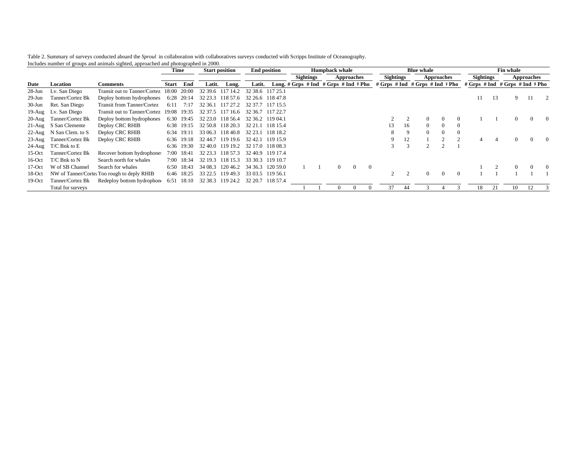Table 2. Summary of surveys conducted aboard the *Sproul* in collaboration with collaboratives surveys conducted with Scripps Institute of Oceanography. Includes number of groups and animals sighted, approached and photographed in 2000.

|           |                         |                                             |             | Time       | <b>Start position</b> |          | <b>End position</b>               |          |                                                                       | <b>Humpback whale</b> |                   |          |                  |    | <b>Blue whale</b> |                   |                                 |    | Fin whale |                   |  |
|-----------|-------------------------|---------------------------------------------|-------------|------------|-----------------------|----------|-----------------------------------|----------|-----------------------------------------------------------------------|-----------------------|-------------------|----------|------------------|----|-------------------|-------------------|---------------------------------|----|-----------|-------------------|--|
|           |                         |                                             |             |            |                       |          |                                   |          | <b>Sightings</b>                                                      |                       | <b>Approaches</b> |          | <b>Sightings</b> |    |                   | <b>Approaches</b> | <b>Sightings</b>                |    |           | <b>Approaches</b> |  |
| Date      | Location                | <b>Comments</b>                             | Start       | End        | Latit.                | Long.    | Latit.                            |          | Long. # Grps # Ind # Grps # Ind # Pho # Grps # Ind # Grps # Ind # Pho |                       |                   |          |                  |    |                   |                   | # Grps # Ind # Grps # Ind # Pho |    |           |                   |  |
| $28$ -Jun | Lv. San Diego           | Transit out to Tanner/Cortez 18:00          |             | 20:00      | 32 39.6               | 117 14.2 | 32 38.6 117 25.1                  |          |                                                                       |                       |                   |          |                  |    |                   |                   |                                 |    |           |                   |  |
| $29$ -Jun | Tanner/Cortez Bk        | Deploy bottom hydrophones                   | 6:28        | 20:14      | 32 23.3               | 118 57.6 | 32 26.6 118 47.8                  |          |                                                                       |                       |                   |          |                  |    |                   |                   | 11                              | 13 | 9.        |                   |  |
| 30-Jun    | Ret. San Diego          | Transit from Tanner/Cortez                  | 6:11        | 7:17       | 32 36.1               | 117 27.2 | 32.37                             | 117 15.5 |                                                                       |                       |                   |          |                  |    |                   |                   |                                 |    |           |                   |  |
|           | 19-Aug Lv. San Diego    | Transit out to Tanner/Cortez                | 19:08 19:35 |            | 32 37 5               | 117 16.6 | 32 36.7                           | 117 22.7 |                                                                       |                       |                   |          |                  |    |                   |                   |                                 |    |           |                   |  |
| 20-Aug    | Tanner/Cortez Bk        | Deploy bottom hydrophones                   | 6:30        | 19:45      | 32 23.0               | 118 56.4 | 32 36.2                           | 119 04.1 |                                                                       |                       |                   |          |                  |    | $\Omega$          | $\Omega$          |                                 |    |           |                   |  |
|           | 21-Aug S San Clemente   | Deploy CRC RHIB                             |             | 6:38 19:15 | 32.50.8               | 118 20.3 | 32 21.                            | 118 15.4 |                                                                       |                       |                   |          |                  | 16 | $\Omega$          | $\Omega$          |                                 |    |           |                   |  |
|           | 22-Aug N San Clem. to S | Deploy CRC RHIB                             |             | 6:34 19:11 | 33 06.3               | 118 40.8 | 32 23.1                           | 118 18.2 |                                                                       |                       |                   |          | 8                | 9  | $\Omega$          | $\Omega$          |                                 |    |           |                   |  |
|           | 23-Aug Tanner/Cortez Bk | Deploy CRC RHIB                             | 6:36        | 19:18      | 32 44.7               | 119 19.6 | 32 42.1                           | 119 15.9 |                                                                       |                       |                   |          | 9                | 12 |                   |                   |                                 |    |           | $\Omega$          |  |
|           | 24-Aug T/C Bnk to E     |                                             |             | 6:36 19:30 | 32.40.0               | 119 19.2 | 32 17.0 118 08.3                  |          |                                                                       |                       |                   |          |                  |    |                   |                   |                                 |    |           |                   |  |
| $15$ -Oct | Tanner/Cortez Bk        | Recover bottom hydrophones                  | 7:00-       | 18:41      | 32 23.3               | 118 57.3 | 32 40.9 119 17.4                  |          |                                                                       |                       |                   |          |                  |    |                   |                   |                                 |    |           |                   |  |
| $16$ -Oct | T/C Bnk to N            | Search north for whales                     |             | 7:00 18:34 | 32 19.3               | 118 15.3 | 33 30.3                           | 119 10.7 |                                                                       |                       |                   |          |                  |    |                   |                   |                                 |    |           |                   |  |
| $17-Oct$  | W of SB Channel         | Search for whales                           | 6:50        | 18:43      | 34 08.3               | 120 46.2 | 34 36.3                           | 120 59.0 |                                                                       | $\Omega$              | $\Omega$          | $\Omega$ |                  |    |                   |                   |                                 |    |           | 0                 |  |
| 18-Oct    |                         | NW of Tanner/Cortez Too rough to deply RHIB |             | 6:46 18:25 | 33 22.5               | 119 49.3 | 33 03.5 119 56.1                  |          |                                                                       |                       |                   |          |                  |    | $\Omega$          | $\Omega$          |                                 |    |           |                   |  |
| $19-Oct$  | Tanner/Cortez Bk        | Redeploy bottom hydrophone                  | 6:51        | 18:10      |                       |          | 32 38.3 119 24.2 32 20.7 118 57.4 |          |                                                                       |                       |                   |          |                  |    |                   |                   |                                 |    |           |                   |  |
|           | Total for surveys       |                                             |             |            |                       |          |                                   |          |                                                                       | $\Omega$              |                   |          | 37               | 44 |                   |                   | 18                              |    | 10        | 12                |  |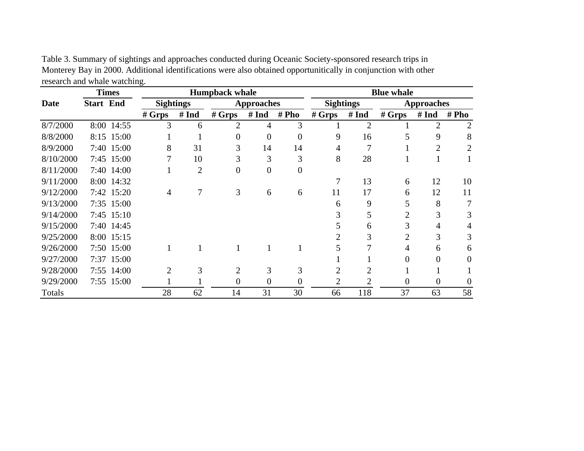|           |                  | <b>Times</b> |                  |                | <b>Humpback whale</b> |                   |                |                       |                             | <b>Blue whale</b> |                   |                |
|-----------|------------------|--------------|------------------|----------------|-----------------------|-------------------|----------------|-----------------------|-----------------------------|-------------------|-------------------|----------------|
| Date      | <b>Start End</b> |              | <b>Sightings</b> |                |                       | <b>Approaches</b> |                | <b>Sightings</b>      |                             |                   | <b>Approaches</b> |                |
|           |                  |              | # Grys           | # Ind          | # Grys                | # Ind             | # Pho          | # Grys                | # Ind                       | # Grys            | # Ind             | # Pho          |
| 8/7/2000  |                  | 8:00 14:55   | 3                | 6              | 2                     | 4                 | 3              |                       | $\overline{2}$              |                   | $\overline{2}$    | $\overline{2}$ |
| 8/8/2000  |                  | 8:15 15:00   |                  |                | 0                     | $\theta$          | $\Omega$       | 9                     | 16                          |                   | 9                 | 8              |
| 8/9/2000  |                  | 7:40 15:00   | 8                | 31             | 3                     | 14                | 14             | 4                     | 7                           |                   | 2                 | 2              |
| 8/10/2000 |                  | 7:45 15:00   |                  | 10             | J.                    | 3                 | 3              | 8                     | 28                          |                   | -1                |                |
| 8/11/2000 |                  | 7:40 14:00   |                  | $\overline{2}$ | 0                     | $\overline{0}$    | $\overline{0}$ |                       |                             |                   |                   |                |
| 9/11/2000 |                  | 8:00 14:32   |                  |                |                       |                   |                |                       | 13                          | 6                 | 12                | 10             |
| 9/12/2000 |                  | 7:42 15:20   | 4                |                | 3                     | 6                 | 6              | 11                    | 17                          | 6                 | 12                | 11             |
| 9/13/2000 |                  | 7:35 15:00   |                  |                |                       |                   |                | 6                     | 9                           |                   | 8                 |                |
| 9/14/2000 |                  | 7:45 15:10   |                  |                |                       |                   |                |                       | 5                           | $\overline{2}$    | 3                 | 3              |
| 9/15/2000 |                  | 7:40 14:45   |                  |                |                       |                   |                |                       | 6                           | 3                 | 4                 |                |
| 9/25/2000 |                  | 8:00 15:15   |                  |                |                       |                   |                |                       | 3                           | $\overline{c}$    | 3                 | 3              |
| 9/26/2000 |                  | 7:50 15:00   | 1                |                |                       |                   |                |                       | 7                           |                   | 6                 | 6              |
| 9/27/2000 |                  | 7:37 15:00   |                  |                |                       |                   |                |                       |                             | 0                 | 0                 | 0              |
| 9/28/2000 |                  | 7:55 14:00   | $\overline{2}$   | 3              | 2                     | 3                 | 3              |                       | 2                           |                   |                   |                |
| 9/29/2000 |                  | 7:55 15:00   |                  |                | 0                     | 0                 | 0              | $\mathcal{D}_{\cdot}$ | $\mathcal{D}_{\mathcal{A}}$ | 0                 | 0                 | 0              |
| Totals    |                  |              | 28               | 62             | 14                    | 31                | 30             | 66                    | 118                         | 37                | 63                | 58             |

Table 3. Summary of sightings and approaches conducted during Oceanic Society-sponsored research trips in Monterey Bay in 2000. Additional identifications were also obtained opportunitically in conjunction with other research and whale watching.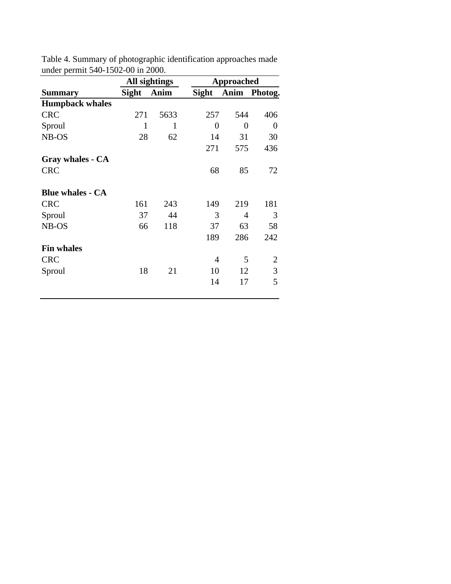|                         |              | All sightings |                | Approached |                |
|-------------------------|--------------|---------------|----------------|------------|----------------|
| <b>Summary</b>          | <b>Sight</b> | Anim          | <b>Sight</b>   |            | Anim Photog.   |
| <b>Humpback whales</b>  |              |               |                |            |                |
| <b>CRC</b>              | 271          | 5633          | 257            | 544        | 406            |
| Sproul                  | 1            | 1             | $\overline{0}$ | 0          | $\overline{0}$ |
| NB-OS                   | 28           | 62            | 14             | 31         | 30             |
|                         |              |               | 271            | 575        | 436            |
| Gray whales - CA        |              |               |                |            |                |
| <b>CRC</b>              |              |               | 68             | 85         | 72             |
| <b>Blue whales - CA</b> |              |               |                |            |                |
| <b>CRC</b>              | 161          | 243           | 149            | 219        | 181            |
| Sproul                  | 37           | 44            | 3              | 4          | 3              |
| NB-OS                   | 66           | 118           | 37             | 63         | 58             |
|                         |              |               | 189            | 286        | 242            |
| <b>Fin whales</b>       |              |               |                |            |                |
| <b>CRC</b>              |              |               | 4              | 5          | $\overline{2}$ |
| Sproul                  | 18           | 21            | 10             | 12         | 3              |
|                         |              |               | 14             | 17         | 5              |
|                         |              |               |                |            |                |

Table 4. Summary of photographic identification approaches made under permit 540-1502-00 in 2000.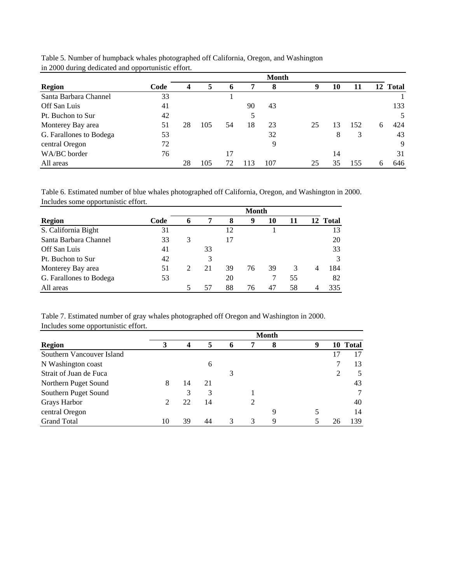|                         | . .  |    |     |    |     | <b>Month</b> |    |    |     |   |          |
|-------------------------|------|----|-----|----|-----|--------------|----|----|-----|---|----------|
| <b>Region</b>           | Code | 4  | 5   | o  |     | 8            | 9  | 10 | 11  |   | 12 Total |
| Santa Barbara Channel   | 33   |    |     |    |     |              |    |    |     |   |          |
| Off San Luis            | 41   |    |     |    | 90  | 43           |    |    |     |   | 133      |
| Pt. Buchon to Sur       | 42   |    |     |    |     |              |    |    |     |   | 5        |
| Monterey Bay area       | 51   | 28 | 105 | 54 | 18  | 23           | 25 | 13 | 152 | 6 | 424      |
| G. Farallones to Bodega | 53   |    |     |    |     | 32           |    | 8  | 3   |   | 43       |
| central Oregon          | 72   |    |     |    |     | 9            |    |    |     |   | 9        |
| WA/BC border            | 76   |    |     | 17 |     |              |    | 14 |     |   | 31       |
| All areas               |      | 28 | 105 | 72 | 113 | 107          | 25 | 35 | 155 | h | 646      |

Table 5. Number of humpback whales photographed off California, Oregon, and Washington in 2000 during dedicated and opportunistic effort.

Table 6. Estimated number of blue whales photographed off California, Oregon, and Washington in 2000. Includes some opportunistic effort.

|                         |      | Month |    |    |    |    |    |    |       |  |  |  |
|-------------------------|------|-------|----|----|----|----|----|----|-------|--|--|--|
| <b>Region</b>           | Code | 6     | 7  | 8  | 9  | 10 |    | 12 | Total |  |  |  |
| S. California Bight     | 31   |       |    | 12 |    |    |    |    | 13    |  |  |  |
| Santa Barbara Channel   | 33   | 3     |    | 17 |    |    |    |    | 20    |  |  |  |
| Off San Luis            | 41   |       | 33 |    |    |    |    |    | 33    |  |  |  |
| Pt. Buchon to Sur       | 42   |       | 3  |    |    |    |    |    | 3     |  |  |  |
| Monterey Bay area       | 51   | 2     | 21 | 39 | 76 | 39 | 3  | 4  | 184   |  |  |  |
| G. Farallones to Bodega | 53   |       |    | 20 |    |    | 55 |    | 82    |  |  |  |
| All areas               |      | 5     | 57 | 88 | 76 | 47 | 58 | 4  | 335   |  |  |  |

Table 7. Estimated number of gray whales photographed off Oregon and Washington in 2000. Includes some opportunistic effort.

|                           |                             |    |    |               |   | <b>Month</b> |   |    |              |
|---------------------------|-----------------------------|----|----|---------------|---|--------------|---|----|--------------|
| <b>Region</b>             |                             | 4  | 5  | 6             | 7 | 8            | 9 | 10 | <b>Total</b> |
| Southern Vancouver Island |                             |    |    |               |   |              |   |    | 17           |
| N Washington coast        |                             |    | 6  |               |   |              |   |    | 13           |
| Strait of Juan de Fuca    |                             |    |    | 3             |   |              |   |    | 5            |
| Northern Puget Sound      | 8                           | 14 | 21 |               |   |              |   |    | 43           |
| Southern Puget Sound      |                             | 3  | 3  |               |   |              |   |    | $\tau$       |
| Grays Harbor              | $\mathcal{D}_{\mathcal{L}}$ | 22 | 14 |               |   |              |   |    | 40           |
| central Oregon            |                             |    |    |               |   | 9            |   |    | 14           |
| <b>Grand Total</b>        | 10                          | 39 | 44 | $\mathcal{R}$ | 3 | 9            |   | 26 | 139          |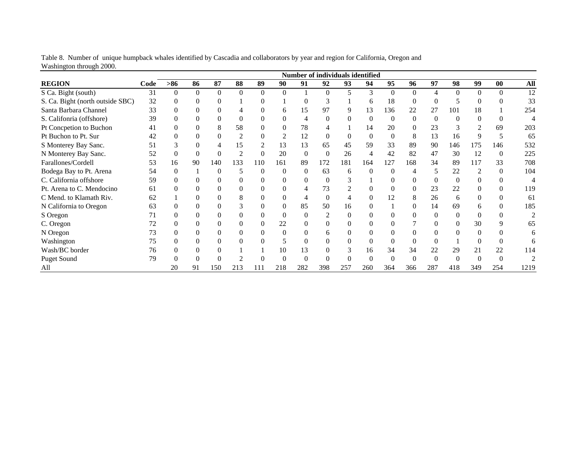|                                  |      |                |          |          |                |          |                |          |          |          | <b>Number of individuals identified</b> |          |          |     |          |                |          |      |
|----------------------------------|------|----------------|----------|----------|----------------|----------|----------------|----------|----------|----------|-----------------------------------------|----------|----------|-----|----------|----------------|----------|------|
| <b>REGION</b>                    | Code | $>86$          | 86       | 87       | 88             | 89       | 90             | 91       | 92       | 93       | 94                                      | 95       | 96       | 97  | 98       | 99             | 00       | All  |
| S Ca. Bight (south)              | 31   | $\mathbf{0}$   | $\Omega$ | $\Omega$ | $\mathbf{0}$   | $\Omega$ | $\Omega$       |          | $\Omega$ | 5        | 3                                       | 0        | $\Omega$ |     | $\Omega$ | $\Omega$       | $\Omega$ | 12   |
| S. Ca. Bight (north outside SBC) | 32   | $\overline{0}$ | 0        |          |                | 0        |                | 0        |          |          | <sub>6</sub>                            | 18       | $\theta$ |     |          | $\Omega$       |          | 33   |
| Santa Barbara Channel            | 33   | $\Omega$       |          |          | 4              |          | 6              | 15       | 97       | 9        | 13                                      | 136      | 22       | 27  | 101      | 18             |          | 254  |
| S. Califonria (offshore)         | 39   | 0              | 0        |          | $\Omega$       |          | 0              | 4        | 0        | 0        |                                         | 0        | $\Omega$ |     | $\Omega$ | 0              |          |      |
| Pt Concpetion to Buchon          | 41   | $\Omega$       | 0        | 8        | 58             | $^{(1)}$ | $\Omega$       | 78       |          |          | 14                                      | 20       | $\Omega$ | 23  | 3        | 2              | 69       | 203  |
| Pt Buchon to Pt. Sur             | 42   | $\Omega$       | 0        |          | $\overline{2}$ | 0        | $\overline{2}$ | 12       | 0        | $\Omega$ |                                         | $\Omega$ | 8        | 13  | 16       | 9              | 5        | 65   |
| S Monterey Bay Sanc.             | 51   | 3              |          |          | 15             |          | 13             | 13       | 65       | 45       | 59                                      | 33       | 89       | 90  | 146      | 175            | 146      | 532  |
| N Monterey Bay Sanc.             | 52   | $\mathbf{0}$   | 0        | $\theta$ | $\overline{2}$ | 0        | 20             | $\Omega$ | $\Omega$ | 26       | 4                                       | 42       | 82       | 47  | 30       | 12             | $\Omega$ | 225  |
| Farallones/Cordell               | 53   | 16             | 90       | 140      | 133            | 110      | 161            | 89       | 172      | 181      | 164                                     | 127      | 168      | 34  | 89       | 117            | 33       | 708  |
| Bodega Bay to Pt. Arena          | 54   | $\mathbf{0}$   |          | $\Omega$ | 5              | $\Omega$ | $\Omega$       | 0        | 63       | 6        | $\Omega$                                | 0        | 4        |     | 22       | $\overline{2}$ | $\Omega$ | 104  |
| C. California offshore           | 59   | $\Omega$       |          |          | $\Omega$       |          | 0              |          |          | 3        |                                         |          |          |     |          | 0              |          | 4    |
| Pt. Arena to C. Mendocino        | 61   | 0              |          |          | $\Omega$       |          |                | 4        | 73       |          |                                         |          | 0        | 23  | 22       |                |          | 119  |
| C Mend. to Klamath Riv.          | 62   |                |          |          | 8              |          | 0              | 4        | $\Omega$ | 4        |                                         | 12       | 8        | 26  | 6        | $\Omega$       |          | 61   |
| N California to Oregon           | 63   | 0              | 0        |          | 3              | 0        | 0              | 85       | 50       | 16       |                                         |          | 0        | 14  | 69       | 6              |          | 185  |
| S Oregon                         |      | 0              | 0        |          | $\Omega$       | 0        | $\Omega$       | 0        |          | $\theta$ |                                         |          |          | 0   | $\Omega$ | 0              |          |      |
| C. Oregon                        | 72   | $\Omega$       |          |          | $\Omega$       | $^{(1)}$ | 22             | 0        |          | 0        |                                         |          |          |     |          | 30             |          | 65   |
| N Oregon                         | 73   | 0              |          |          | $\Omega$       |          | $\Omega$       | 0        | h.       | 0        |                                         |          |          |     |          | 0              |          | 6    |
| Washington                       | 75   | 0              | 0        |          | $\Omega$       | 0        | 5              | 0        |          | 0        |                                         |          | $\Omega$ |     |          | $\Omega$       |          | 6    |
| Wash/BC border                   | 76   | $\Omega$       |          |          |                |          | 10             | 13       |          | 3        | 16                                      | 34       | 34       | 22  | 29       | 21             | 22       | 114  |
| <b>Puget Sound</b>               | 79   |                |          |          |                |          |                |          |          |          |                                         |          | $\Omega$ |     |          | $\Omega$       |          |      |
| All                              |      | 20             | 91       | 150      | 213            | 111      | 218            | 282      | 398      | 257      | 260                                     | 364      | 366      | 287 | 418      | 349            | 254      | 1219 |

Table 8. Number of unique humpback whales identified by Cascadia and collaborators by year and region for California, Oregon and Washington through 2000.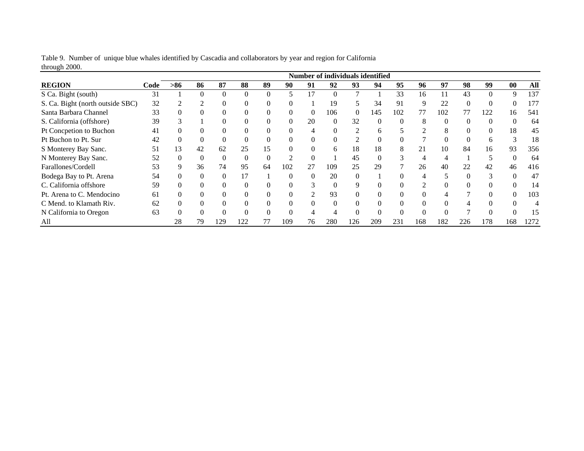|                                  |      |          |          |     |          |          |          |                               | Number of individuals identified |     |          |          |     |          |     |     |     |      |
|----------------------------------|------|----------|----------|-----|----------|----------|----------|-------------------------------|----------------------------------|-----|----------|----------|-----|----------|-----|-----|-----|------|
| <b>REGION</b>                    | Code | $> 86$   | 86       | 87  | 88       | 89       | 90       | 91                            | 92                               | 93  | 94       | 95       | 96  | 97       | 98  | 99  | 00  | All  |
| S Ca. Bight (south)              | 31   |          | $\Omega$ |     | $\Omega$ | $\Omega$ |          | 17                            |                                  |     |          | 33       | 16  | 11       | 43  |     | 9   | 137  |
| S. Ca. Bight (north outside SBC) | 32   |          | 2        |     |          |          |          |                               | 19                               |     | 34       | 91       |     | 22       | 0   |     |     | 177  |
| Santa Barbara Channel            | 33   | $\Omega$ |          |     |          |          |          | $\mathbf{0}$                  | 106                              |     | 145      | 102      | 77  | 102      | 77  | 122 | 16  | 541  |
| S. California (offshore)         | 39   | 3        |          |     | 0        |          | 0        | 20                            | 0                                | 32  | $\theta$ | $\Omega$ |     | $\theta$ | 0   |     |     | 64   |
| Pt Concpetion to Buchon          | 41   | $\Omega$ | 0        |     | $\Omega$ |          |          | $\overline{4}$                |                                  |     | 6        |          |     | 8        | 0   |     | 18  | 45   |
| Pt Buchon to Pt. Sur             | 42   | $\Omega$ | $\Omega$ |     | $\Omega$ |          |          |                               |                                  |     | $\Omega$ |          |     |          |     |     |     | 18   |
| S Monterey Bay Sanc.             | 51   | 13       | 42       | 62  | 25       | 15       |          |                               | 6                                | 18  | 18       | 8        |     | 10       | 84  | 16  | 93  | 356  |
| N Monterey Bay Sanc.             | 52   | $\Omega$ | $\theta$ |     | $\Omega$ |          |          | $\Omega$                      |                                  | 45  | $\Omega$ | n,       |     |          |     |     |     | 64   |
| Farallones/Cordell               | 53   | 9        | 36       | 74  | 95       | 64       | 102      | 27                            | 109                              | 25  | 29       |          | 26  | 40       | 22  | 42  | 46  | 416  |
| Bodega Bay to Pt. Arena          | 54   | $\Omega$ | $\Omega$ |     | 17       |          | $\Omega$ | $\theta$                      | 20                               |     |          |          |     |          | 0   |     |     | 47   |
| C. California offshore           | 59   |          | $\Omega$ |     |          |          |          | 3                             |                                  |     |          |          |     |          |     |     |     | 14   |
| Pt. Arena to C. Mendocino        | 61   |          | $\Omega$ |     | $\Omega$ |          |          | $\mathfrak{D}_{\mathfrak{p}}$ | 93                               |     | $\Omega$ | 0        |     |          | ⇁   |     |     | 103  |
| C Mend. to Klamath Riv.          | 62   |          |          |     |          |          |          |                               |                                  |     |          |          |     |          |     |     |     | 4    |
| N California to Oregon           | 63   | $\Omega$ | $\Omega$ |     | $\Omega$ |          |          |                               |                                  |     | $\Omega$ |          |     |          |     |     |     | 15   |
| All                              |      | 28       | 79       | 129 | 122      | 77       | 109      | 76                            | 280                              | 126 | 209      | 231      | 168 | 182      | 226 | 178 | 168 | 1272 |

Table 9. Number of unique blue whales identified by Cascadia and collaborators by year and region for California through 2000.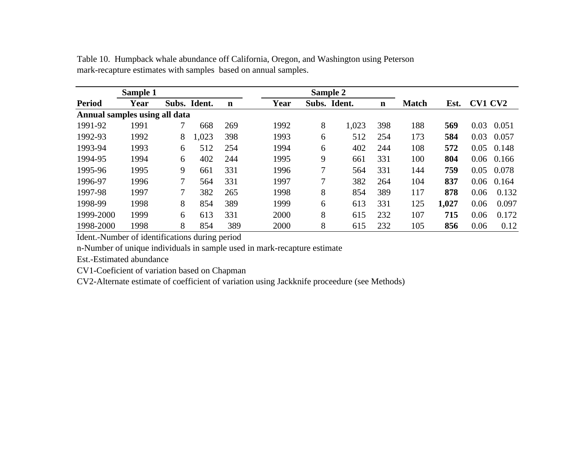| Sample 1                      |      |   |              |             |      |   | Sample 2     |             |              |       |                |       |
|-------------------------------|------|---|--------------|-------------|------|---|--------------|-------------|--------------|-------|----------------|-------|
| <b>Period</b>                 | Year |   | Subs. Ident. | $\mathbf n$ | Year |   | Subs. Ident. | $\mathbf n$ | <b>Match</b> | Est.  | <b>CV1 CV2</b> |       |
| Annual samples using all data |      |   |              |             |      |   |              |             |              |       |                |       |
| 1991-92                       | 1991 | 7 | 668          | 269         | 1992 | 8 | 1,023        | 398         | 188          | 569   | 0.03           | 0.051 |
| 1992-93                       | 1992 | 8 | .023         | 398         | 1993 | 6 | 512          | 254         | 173          | 584   | 0.03           | 0.057 |
| 1993-94                       | 1993 | 6 | 512          | 254         | 1994 | 6 | 402          | 244         | 108          | 572   | 0.05           | 0.148 |
| 1994-95                       | 1994 | 6 | 402          | 244         | 1995 | 9 | 661          | 331         | 100          | 804   | 0.06           | 0.166 |
| 1995-96                       | 1995 | 9 | 661          | 331         | 1996 | 7 | 564          | 331         | 144          | 759   | 0.05           | 0.078 |
| 1996-97                       | 1996 | 7 | 564          | 331         | 1997 | 7 | 382          | 264         | 104          | 837   | 0.06           | 0.164 |
| 1997-98                       | 1997 | 7 | 382          | 265         | 1998 | 8 | 854          | 389         | 117          | 878   | 0.06           | 0.132 |
| 1998-99                       | 1998 | 8 | 854          | 389         | 1999 | 6 | 613          | 331         | 125          | 1,027 | 0.06           | 0.097 |
| 1999-2000                     | 1999 | 6 | 613          | 331         | 2000 | 8 | 615          | 232         | 107          | 715   | 0.06           | 0.172 |
| 1998-2000                     | 1998 | 8 | 854          | 389         | 2000 | 8 | 615          | 232         | 105          | 856   | 0.06           | 0.12  |

Table 10. Humpback whale abundance off California, Oregon, and Washington using Peterson mark-recapture estimates with samples based on annual samples.

Ident.-Number of identifications during period

n-Number of unique individuals in sample used in mark-recapture estimate

Est.-Estimated abundance

CV1-Coeficient of variation based on Chapman

CV2-Alternate estimate of coefficient of variation using Jackknife proceedure (see Methods)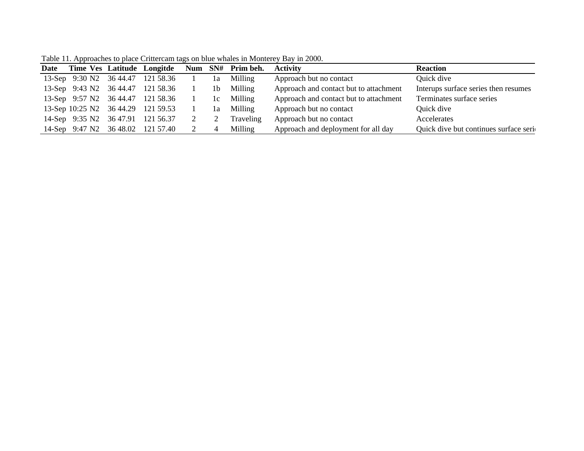| Date |  |                                     |                | Time Ves Latitude Longitde Num SN# Prim beh. Activity |                                        | <b>Reaction</b>                        |
|------|--|-------------------------------------|----------------|-------------------------------------------------------|----------------------------------------|----------------------------------------|
|      |  | 13-Sep 9:30 N2 36 44.47 121 58.36 1 | 1a             | Milling                                               | Approach but no contact                | Quick dive                             |
|      |  | 13-Sep 9:43 N2 36 44.47 121 58.36   | 1 <sub>b</sub> | Milling                                               | Approach and contact but to attachment | Interups surface series then resumes   |
|      |  | 13-Sep 9:57 N2 36 44.47 121 58.36   | 1c             | Milling                                               | Approach and contact but to attachment | Terminates surface series              |
|      |  | 13-Sep 10:25 N2 36 44.29 121 59.53  | 1a             | Milling                                               | Approach but no contact                | Quick dive                             |
|      |  | 14-Sep 9:35 N2 36 47.91 121 56.37   |                | Traveling                                             | Approach but no contact                | Accelerates                            |
|      |  | 14-Sep 9:47 N2 36 48.02 121 57.40   | 4              | Milling                                               | Approach and deployment for all day    | Quick dive but continues surface serio |

Table 11. Approaches to place Crittercam tags on blue whales in Monterey Bay in 2000.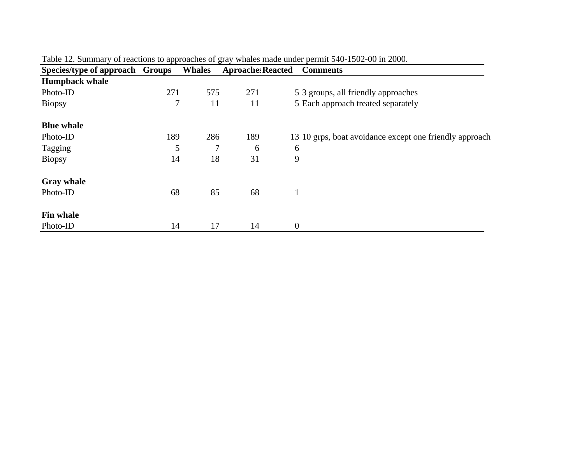| Species/type of approach Groups |     | <b>Whales</b> | <b>Aproache Reacted</b> | <b>Comments</b>                                         |
|---------------------------------|-----|---------------|-------------------------|---------------------------------------------------------|
| <b>Humpback whale</b>           |     |               |                         |                                                         |
| Photo-ID                        | 271 | 575           | 271                     | 5 3 groups, all friendly approaches                     |
| <b>Biopsy</b>                   | 7   | 11            | 11                      | 5 Each approach treated separately                      |
| <b>Blue whale</b>               |     |               |                         |                                                         |
| Photo-ID                        | 189 | 286           | 189                     | 13 10 grps, boat avoidance except one friendly approach |
| Tagging                         | 5   | 7             | 6                       | 6                                                       |
| <b>Biopsy</b>                   | 14  | 18            | 31                      | 9                                                       |
| <b>Gray whale</b>               |     |               |                         |                                                         |
| Photo-ID                        | 68  | 85            | 68                      |                                                         |
| <b>Fin whale</b>                |     |               |                         |                                                         |
| Photo-ID                        | 14  | 17            | 14                      | $\boldsymbol{0}$                                        |

Table 12. Summary of reactions to approaches of gray whales made under permit 540-1502-00 in 2000.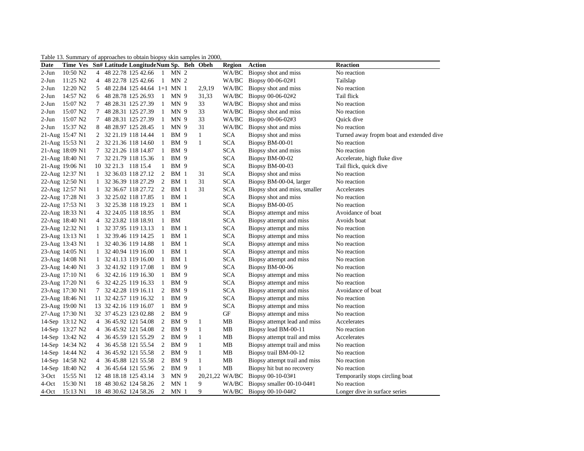#### Table 13. Summary of approaches to obtain biopsy skin samples in 2000,

| Date    | Time Ves Sn# Latitude Longitude Num Sp. Beh Obeh |   |                     |                               |              |                 |              | <b>Region</b>  | <b>Action</b>                 | Reaction                                 |
|---------|--------------------------------------------------|---|---------------------|-------------------------------|--------------|-----------------|--------------|----------------|-------------------------------|------------------------------------------|
| $2-Jun$ | 10:50 N2                                         | 4 |                     | 48 22.78 125 42.66            | -1           | MN <sub>2</sub> |              |                | WA/BC Biopsy shot and miss    | No reaction                              |
| $2-Jun$ | 11:25 N2                                         |   |                     | 4 48 22.78 125 42.66          |              | 1 MN 2          |              |                | WA/BC Biopsy 00-06-02#1       | Tailslap                                 |
| $2-Jun$ | 12:20 N <sub>2</sub>                             |   |                     | 5 48 22.84 125 44.64 1+1 MN 1 |              |                 | 2,9,19       | WA/BC          | Biopsy shot and miss          | No reaction                              |
| $2-Jun$ | 14:57 N2                                         |   |                     | 6 48 28.78 125 26.93          | $\mathbf{1}$ | MN <sub>9</sub> | 31,33        | WA/BC          | Biopsy 00-06-02#2             | Tail flick                               |
| $2-Jun$ | 15:07 N2                                         |   |                     | 7 48 28.31 125 27.39          | $\mathbf{1}$ | MN <sub>9</sub> | 33           | WA/BC          | Biopsy shot and miss          | No reaction                              |
| $2-Jun$ | 15:07 N2                                         |   |                     | 7 48 28.31 125 27.39          | $\,$ 1 $\,$  | MN <sub>9</sub> | 33           | WA/BC          | Biopsy shot and miss          | No reaction                              |
| $2-Jun$ | 15:07 N2                                         |   |                     | 7 48 28.31 125 27.39          | $1\,$        | MN <sub>9</sub> | 33           | WA/BC          | Biopsy 00-06-02#3             | Quick dive                               |
| $2-Jun$ | 15:37 N2                                         |   |                     | 8 48 28.97 125 28.45          | -1           | MN <sub>9</sub> | 31           | WA/BC          | Biopsy shot and miss          | No reaction                              |
|         | 21-Aug 15:47 N1                                  |   |                     | 2 32 21.19 118 14.44          | -1           | <b>BM</b> 9     | $\mathbf{1}$ | <b>SCA</b>     | Biopsy shot and miss          | Turned away fropm boat and extended dive |
|         | 21-Aug 15:53 N1                                  |   |                     | 2 32 21.36 118 14.60          | $\mathbf{1}$ | <b>BM</b> 9     | 1            | <b>SCA</b>     | Biopsy BM-00-01               | No reaction                              |
|         | 21-Aug 18:09 N1                                  |   |                     | 7 32 21.26 118 14.87          | $\mathbf{1}$ | BM 9            |              | <b>SCA</b>     | Biopsy shot and miss          | No reaction                              |
|         | 21-Aug 18:40 N1                                  |   |                     | 7 32 21.79 118 15.36          | $\mathbf{1}$ | BM 9            |              | <b>SCA</b>     | Biopsy BM-00-02               | Accelerate, high fluke dive              |
|         | 21-Aug 19:06 N1                                  |   | 10 32 21.3 118 15.4 |                               | $\mathbf{1}$ | BM 9            |              | <b>SCA</b>     | Biopsy BM-00-03               | Tail flick, quick dive                   |
|         | 22-Aug 12:37 N1                                  |   |                     | 1 32 36.03 118 27.12          | 2            | BM <sub>1</sub> | 31           | <b>SCA</b>     | Biopsy shot and miss          | No reaction                              |
|         | 22-Aug 12:50 N1                                  |   |                     | 1 32 36.39 118 27.29          | 2            | BM <sub>1</sub> | 31           | <b>SCA</b>     | Biopsy BM-00-04, larger       | No reaction                              |
|         | 22-Aug 12:57 N1                                  |   |                     | 1 32 36.67 118 27.72          | 2            | BM <sub>1</sub> | 31           | <b>SCA</b>     | Biopsy shot and miss, smaller | Accelerates                              |
|         | 22-Aug 17:28 N1                                  |   |                     | 3 32 25.02 118 17.85          | $\mathbf{1}$ | BM <sub>1</sub> |              | <b>SCA</b>     | Biopsy shot and miss          | No reaction                              |
|         | 22-Aug 17:53 N1                                  |   |                     | 3 32 25.38 118 19.23          | $\mathbf{1}$ | BM <sub>1</sub> |              | <b>SCA</b>     | Biopsy BM-00-05               | No reaction                              |
|         | 22-Aug 18:33 N1                                  |   |                     | 4 32 24.05 118 18.95          | -1           | <b>BM</b>       |              | <b>SCA</b>     | Biopsy attempt and miss       | Avoidance of boat                        |
|         | 22-Aug 18:40 N1                                  |   |                     | 4 32 23.82 118 18.91          | -1           | BM              |              | <b>SCA</b>     | Biopsy attempt and miss       | Avoids boat                              |
|         | 23-Aug 12:32 N1                                  |   |                     | 1 32 37.95 119 13.13          | -1           | BM <sub>1</sub> |              | <b>SCA</b>     | Biopsy attempt and miss       | No reaction                              |
|         | 23-Aug 13:13 N1                                  |   |                     | 1 32 39.46 119 14.25          | -1           | BM <sub>1</sub> |              | <b>SCA</b>     | Biopsy attempt and miss       | No reaction                              |
|         | 23-Aug 13:43 N1                                  |   |                     | 1 32 40.36 119 14.88          | $\mathbf{1}$ | BM <sub>1</sub> |              | <b>SCA</b>     | Biopsy attempt and miss       | No reaction                              |
|         | 23-Aug 14:05 N1                                  |   |                     | 1 32 40.94 119 16.00          | $\mathbf{1}$ | BM <sub>1</sub> |              | <b>SCA</b>     | Biopsy attempt and miss       | No reaction                              |
|         | 23-Aug 14:08 N1                                  |   |                     | 1 32 41.13 119 16.00          |              | 1 BM 1          |              | <b>SCA</b>     | Biopsy attempt and miss       | No reaction                              |
|         | 23-Aug 14:40 N1                                  |   |                     | 3 32 41.92 119 17.08          | $\mathbf{1}$ | <b>BM</b> 9     |              | <b>SCA</b>     | Biopsy BM-00-06               | No reaction                              |
|         | 23-Aug 17:10 N1                                  |   |                     | 6 32 42.16 119 16.30          | -1           | <b>BM</b> 9     |              | <b>SCA</b>     | Biopsy attempt and miss       | No reaction                              |
|         | 23-Aug 17:20 N1                                  |   |                     | 6 32 42.25 119 16.33          | -1           | BM 9            |              | <b>SCA</b>     | Biopsy attempt and miss       | No reaction                              |
|         | 23-Aug 17:30 N1                                  |   |                     | 7 32 42.28 119 16.11          |              | 2 BM 9          |              | <b>SCA</b>     | Biopsy attempt and miss       | Avoidance of boat                        |
|         | 23-Aug 18:46 N1                                  |   |                     | 11 32 42.57 119 16.32         | 1            | BM 9            |              | <b>SCA</b>     | Biopsy attempt and miss       | No reaction                              |
|         | 23-Aug 19:00 N1                                  |   |                     | 13 32 42.16 119 16.07         | -1           | BM 9            |              | <b>SCA</b>     | Biopsy attempt and miss       | No reaction                              |
|         | 27-Aug 17:30 N1                                  |   |                     | 32 37 45.23 123 02.88         | 2            | <b>BM</b> 9     |              | GF             | Biopsy attempt and miss       | No reaction                              |
|         | 14-Sep 13:12 N2                                  |   |                     | 4 36 45.92 121 54.08          |              | 2 BM 9          | $\mathbf{1}$ | MВ             | Biopsy attempt lead and miss  | Accelerates                              |
|         | 14-Sep 13:27 N2                                  |   |                     | 4 36 45.92 121 54.08          | 2            | <b>BM</b> 9     | $\mathbf{1}$ | MB             | Biopsy lead BM-00-11          | No reaction                              |
|         | 14-Sep 13:42 N2                                  |   |                     | 4 36 45.59 121 55.29          | 2            | <b>BM</b> 9     | $\mathbf{1}$ | MB             | Biopsy attempt trail and miss | Accelerates                              |
|         | 14-Sep 14:34 N2                                  |   |                     | 4 36 45.58 121 55.54          | 2            | BM 9            | 1            | MB             | Biopsy attempt trail and miss | No reaction                              |
|         | 14-Sep 14:44 N2                                  |   |                     | 4 36 45.92 121 55.58          | 2            | <b>BM</b> 9     | $\mathbf{1}$ | MВ             | Biopsy trail BM-00-12         | No reaction                              |
|         | 14-Sep 14:58 N2                                  |   |                     | 4 36 45.88 121 55.58          | 2            | <b>BM</b> 9     | $\mathbf{1}$ | MB             | Biopsy attempt trail and miss | No reaction                              |
|         | 14-Sep 18:40 N2                                  |   |                     | 4 36 45.64 121 55.96          | 2            | <b>BM</b> 9     | $\mathbf{1}$ | MB             | Biopsy hit but no recovery    | No reaction                              |
| $3-Oct$ | 15:55 N1                                         |   |                     | 12 48 18.18 125 43.14         | 3            | MN 9            |              | 20,21,22 WA/BC | Biopsy 00-10-03#1             | Temporarily stops circling boat          |
| 4-Oct   | 15:30 N1                                         |   |                     | 18 48 30.62 124 58.26         | 2            | MN 1            | 9            | WA/BC          | Biopsy smaller 00-10-04#1     | No reaction                              |
| 4-Oct   | 15:13 N1                                         |   |                     | 18 48 30.62 124 58.26         | 2            | MN <sub>1</sub> | $\mathbf{Q}$ |                | WA/BC Biopsy 00-10-04#2       | Longer dive in surface series            |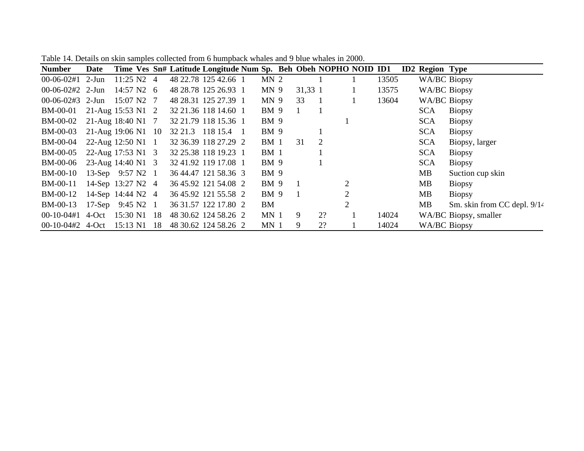| <b>Number</b>       | Date                       |                      |     |         | Time Ves Sn# Latitude Longitude Num Sp. Beh Obeh NOPHO NOID ID1 |                 |              |                |                |       | <b>ID2 Region Type</b> |                               |
|---------------------|----------------------------|----------------------|-----|---------|-----------------------------------------------------------------|-----------------|--------------|----------------|----------------|-------|------------------------|-------------------------------|
| $00-06-02#1$        | 2-Jun                      | $11:25 \text{ N2}$ 4 |     |         | 48 22.78 125 42.66 1                                            | MN <sub>2</sub> |              |                |                | 13505 | WA/BC Biopsy           |                               |
| $00-06-02\#2$ 2-Jun |                            | $14:57 \text{ N2}$ 6 |     |         | 48 28.78 125 26.93 1                                            | MN <sub>9</sub> | 31,33 1      |                |                | 13575 | <b>WA/BC Biopsy</b>    |                               |
| $00-06-02#3$        | $2-Jun$                    | 15:07 N2 7           |     |         | 48 28.31 125 27.39 1                                            | MN <sub>9</sub> | 33           | $\overline{1}$ |                | 13604 | WA/BC Biopsy           |                               |
| <b>BM-00-01</b>     | 21-Aug 15:53 N1 2          |                      |     |         | 32 21.36 118 14.60 1                                            | BM 9            | $\mathbf{1}$ | $\overline{1}$ |                |       | <b>SCA</b>             | <b>Biopsy</b>                 |
| <b>BM-00-02</b>     | 21-Aug 18:40 N1 7          |                      |     |         | 32 21.79 118 15.36 1                                            | BM 9            |              |                |                |       | <b>SCA</b>             | <b>Biopsy</b>                 |
| <b>BM-00-03</b>     | 21-Aug 19:06 N1 10         |                      |     | 32 21.3 | 118 15.4 1                                                      | BM 9            |              |                |                |       | <b>SCA</b>             | <b>Biopsy</b>                 |
| <b>BM-00-04</b>     | 22-Aug 12:50 N1 1          |                      |     |         | 32 36.39 118 27.29 2                                            | BM <sub>1</sub> | 31           | 2              |                |       | <b>SCA</b>             | Biopsy, larger                |
| <b>BM-00-05</b>     | 22-Aug 17:53 N1 3          |                      |     |         | 32 25.38 118 19.23 1                                            | BM <sub>1</sub> |              |                |                |       | <b>SCA</b>             | <b>Biopsy</b>                 |
| BM-00-06            | 23-Aug 14:40 N1 3          |                      |     |         | 32 41.92 119 17.08 1                                            | <b>BM</b> 9     |              |                |                |       | <b>SCA</b>             | <b>Biopsy</b>                 |
| <b>BM-00-10</b>     | 13-Sep 9:57 N2 1           |                      |     |         | 36 44.47 121 58.36 3                                            | BM 9            |              |                |                |       | MB                     | Suction cup skin              |
| BM-00-11            | 14-Sep 13:27 N2 4          |                      |     |         | 36 45.92 121 54.08 2                                            | <b>BM</b> 9     |              |                | $\overline{2}$ |       | MВ                     | <b>Biopsy</b>                 |
| <b>BM-00-12</b>     | 14-Sep 14:44 N2 4          |                      |     |         | 36 45.92 121 55.58 2                                            | <b>BM</b> 9     |              |                | 2              |       | MВ                     | <b>Biopsy</b>                 |
| BM-00-13            | 17-Sep $9:45 \text{ N2}$ 1 |                      |     |         | 36 31.57 122 17.80 2                                            | BM              |              |                | $\overline{2}$ |       | <b>MB</b>              | Sm. skin from CC depl. $9/14$ |
| $00-10-04\#1$       | 4-Oct                      | 15:30 N1 18          |     |         | 48 30.62 124 58.26 2                                            | MN <sub>1</sub> | 9            | 2?             |                | 14024 |                        | WA/BC Biopsy, smaller         |
| $00-10-04#2$        | 4-Oct                      | 15:13 N1             | -18 |         | 48 30.62 124 58.26 2                                            | MN <sub>1</sub> | 9            | 2?             |                | 14024 | WA/BC Biopsy           |                               |

Table 14. Details on skin samples collected from 6 humpback whales and 9 blue whales in 2000.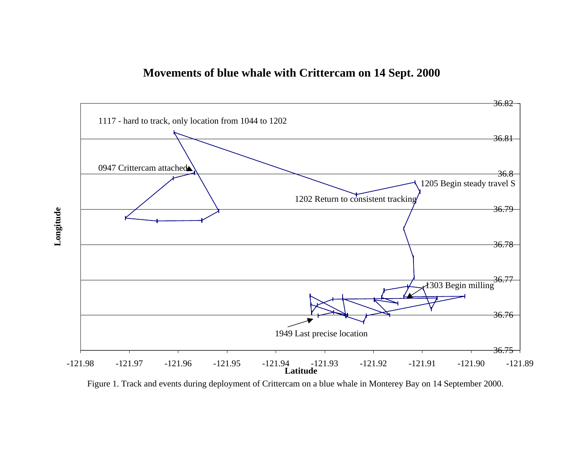

Figure 1. Track and events during deployment of Crittercam on a blue whale in Monterey Bay on 14 September 2000.